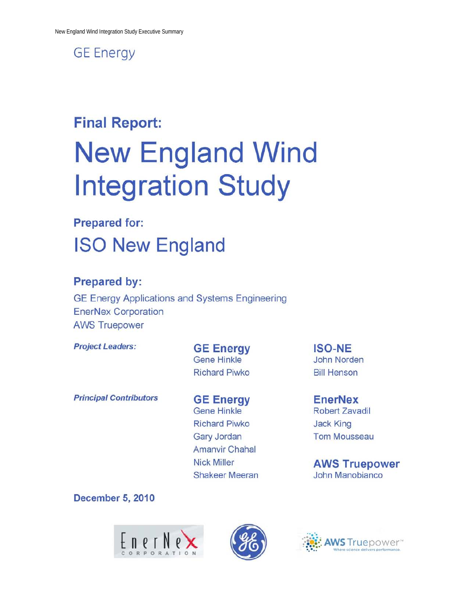**GE Energy** 

# **Final Report: New England Wind Integration Study**

# **Prepared for: ISO New England**

## **Prepared by:**

GE Energy Applications and Systems Engineering **EnerNex Corporation AWS Truepower** 

**Project Leaders:** 

**GE Energy Gene Hinkle Richard Piwko** 

**Principal Contributors** 

**GE Energy Gene Hinkle Richard Piwko** Gary Jordan **Amanvir Chahal Nick Miller Shakeer Meeran**  **ISO-NE John Norden Bill Henson** 

**EnerNex Robert Zavadil Jack King Tom Mousseau** 

**AWS Truepower** John Manobianco

**December 5, 2010** 





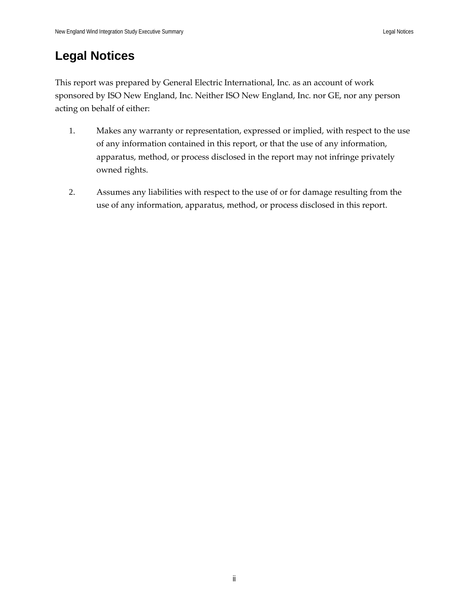# <span id="page-1-0"></span>**Legal Notices**

This report was prepared by General Electric International, Inc. as an account of work sponsored by ISO New England, Inc. Neither ISO New England, Inc. nor GE, nor any person acting on behalf of either:

- 1. Makes any warranty or representation, expressed or implied, with respect to the use of any information contained in this report, or that the use of any information, apparatus, method, or process disclosed in the report may not infringe privately owned rights.
- 2. Assumes any liabilities with respect to the use of or for damage resulting from the use of any information, apparatus, method, or process disclosed in this report.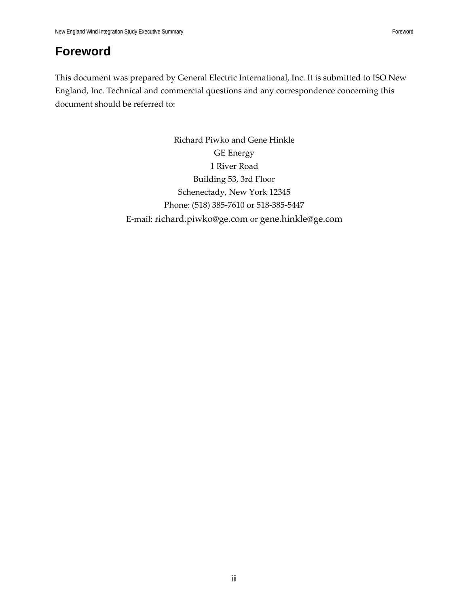# <span id="page-2-0"></span>**Foreword**

This document was prepared by General Electric International, Inc. It is submitted to ISO New England, Inc. Technical and commercial questions and any correspondence concerning this document should be referred to:

> Richard Piwko and Gene Hinkle GE Energy 1 River Road Building 53, 3rd Floor Schenectady, New York 12345 Phone: (518) 385-7610 or 518-385-5447 E-mail: [richard.piwko@ge.com](mailto:richard.piwko@ge.com) or [gene.hinkle@ge.com](mailto:gene.hinkle@ge.com)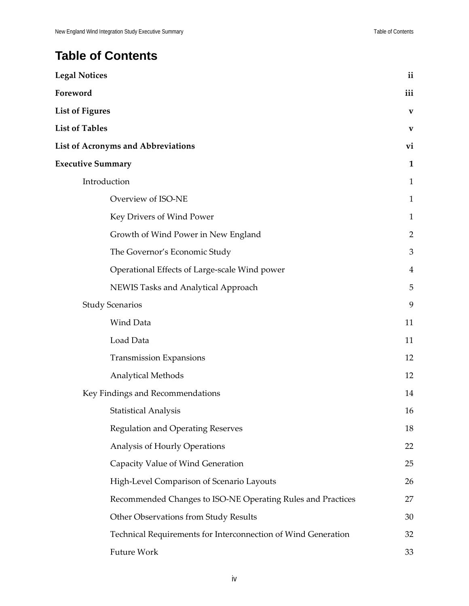# **Table of Contents**

| <b>Legal Notices</b>                                          | ii           |
|---------------------------------------------------------------|--------------|
| Foreword                                                      | iii          |
| <b>List of Figures</b>                                        | $\mathbf{V}$ |
| <b>List of Tables</b>                                         | $\mathbf v$  |
| <b>List of Acronyms and Abbreviations</b>                     | vi           |
| <b>Executive Summary</b>                                      | $\mathbf{1}$ |
| Introduction                                                  | $\mathbf{1}$ |
| Overview of ISO-NE                                            | $\mathbf{1}$ |
| Key Drivers of Wind Power                                     | 1            |
| Growth of Wind Power in New England                           | 2            |
| The Governor's Economic Study                                 | 3            |
| Operational Effects of Large-scale Wind power                 | 4            |
| NEWIS Tasks and Analytical Approach                           | 5            |
| <b>Study Scenarios</b>                                        | 9            |
| Wind Data                                                     | 11           |
| Load Data                                                     | 11           |
| <b>Transmission Expansions</b>                                | 12           |
| Analytical Methods                                            | 12           |
| Key Findings and Recommendations                              | 14           |
| <b>Statistical Analysis</b>                                   | 16           |
| <b>Regulation and Operating Reserves</b>                      | 18           |
| Analysis of Hourly Operations                                 | 22           |
| Capacity Value of Wind Generation                             | 25           |
| High-Level Comparison of Scenario Layouts                     | 26           |
| Recommended Changes to ISO-NE Operating Rules and Practices   | 27           |
| Other Observations from Study Results                         | 30           |
| Technical Requirements for Interconnection of Wind Generation | 32           |
| Future Work                                                   | 33           |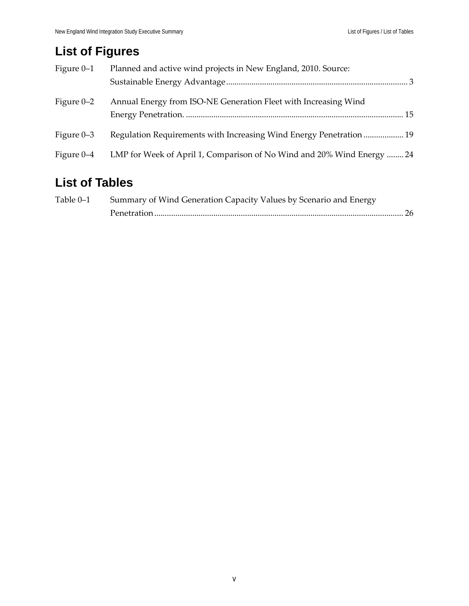# <span id="page-4-0"></span>**List of Figures**

| Figure $0-1$ | Planned and active wind projects in New England, 2010. Source:         |  |
|--------------|------------------------------------------------------------------------|--|
| Figure $0-2$ | Annual Energy from ISO-NE Generation Fleet with Increasing Wind        |  |
| Figure $0-3$ | Regulation Requirements with Increasing Wind Energy Penetration  19    |  |
| Figure $0-4$ | LMP for Week of April 1, Comparison of No Wind and 20% Wind Energy  24 |  |

# <span id="page-4-1"></span>**List of Tables**

| Table 0-1 Summary of Wind Generation Capacity Values by Scenario and Energy |  |  |  |
|-----------------------------------------------------------------------------|--|--|--|
|                                                                             |  |  |  |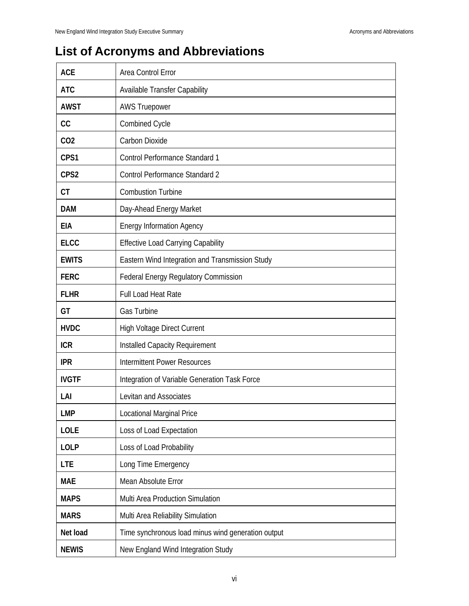# <span id="page-5-0"></span>List of Acronyms and Abbreviations

| <b>ACE</b>       | Area Control Error                                 |
|------------------|----------------------------------------------------|
| <b>ATC</b>       | <b>Available Transfer Capability</b>               |
| <b>AWST</b>      | <b>AWS Truepower</b>                               |
| cc               | Combined Cycle                                     |
| CO <sub>2</sub>  | Carbon Dioxide                                     |
| CPS1             | <b>Control Performance Standard 1</b>              |
| CPS <sub>2</sub> | <b>Control Performance Standard 2</b>              |
| <b>CT</b>        | <b>Combustion Turbine</b>                          |
| <b>DAM</b>       | Day-Ahead Energy Market                            |
| <b>EIA</b>       | <b>Energy Information Agency</b>                   |
| <b>ELCC</b>      | <b>Effective Load Carrying Capability</b>          |
| <b>EWITS</b>     | Eastern Wind Integration and Transmission Study    |
| <b>FERC</b>      | Federal Energy Regulatory Commission               |
| <b>FLHR</b>      | Full Load Heat Rate                                |
| GT               | <b>Gas Turbine</b>                                 |
| <b>HVDC</b>      | <b>High Voltage Direct Current</b>                 |
| <b>ICR</b>       | Installed Capacity Requirement                     |
| <b>IPR</b>       | <b>Intermittent Power Resources</b>                |
| <b>IVGTF</b>     | Integration of Variable Generation Task Force      |
| LAI              | Levitan and Associates                             |
| <b>LMP</b>       | <b>Locational Marginal Price</b>                   |
| <b>LOLE</b>      | Loss of Load Expectation                           |
| <b>LOLP</b>      | Loss of Load Probability                           |
| <b>LTE</b>       | Long Time Emergency                                |
| <b>MAE</b>       | Mean Absolute Error                                |
| <b>MAPS</b>      | <b>Multi Area Production Simulation</b>            |
| <b>MARS</b>      | Multi Area Reliability Simulation                  |
| Net load         | Time synchronous load minus wind generation output |
| <b>NEWIS</b>     | New England Wind Integration Study                 |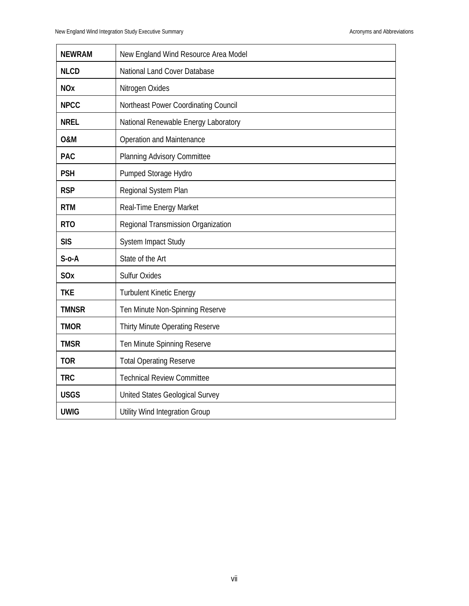| <b>NEWRAM</b> | New England Wind Resource Area Model  |  |  |  |  |  |
|---------------|---------------------------------------|--|--|--|--|--|
| <b>NLCD</b>   | National Land Cover Database          |  |  |  |  |  |
| <b>NOx</b>    | Nitrogen Oxides                       |  |  |  |  |  |
| <b>NPCC</b>   | Northeast Power Coordinating Council  |  |  |  |  |  |
| <b>NREL</b>   | National Renewable Energy Laboratory  |  |  |  |  |  |
| O&M           | Operation and Maintenance             |  |  |  |  |  |
| <b>PAC</b>    | <b>Planning Advisory Committee</b>    |  |  |  |  |  |
| <b>PSH</b>    | Pumped Storage Hydro                  |  |  |  |  |  |
| <b>RSP</b>    | Regional System Plan                  |  |  |  |  |  |
| <b>RTM</b>    | Real-Time Energy Market               |  |  |  |  |  |
| <b>RTO</b>    | Regional Transmission Organization    |  |  |  |  |  |
| <b>SIS</b>    | System Impact Study                   |  |  |  |  |  |
| $S-O-A$       | State of the Art                      |  |  |  |  |  |
| SOx           | <b>Sulfur Oxides</b>                  |  |  |  |  |  |
| <b>TKE</b>    | <b>Turbulent Kinetic Energy</b>       |  |  |  |  |  |
| <b>TMNSR</b>  | Ten Minute Non-Spinning Reserve       |  |  |  |  |  |
| <b>TMOR</b>   | Thirty Minute Operating Reserve       |  |  |  |  |  |
| <b>TMSR</b>   | Ten Minute Spinning Reserve           |  |  |  |  |  |
| <b>TOR</b>    | <b>Total Operating Reserve</b>        |  |  |  |  |  |
| <b>TRC</b>    | <b>Technical Review Committee</b>     |  |  |  |  |  |
| <b>USGS</b>   | United States Geological Survey       |  |  |  |  |  |
| <b>UWIG</b>   | <b>Utility Wind Integration Group</b> |  |  |  |  |  |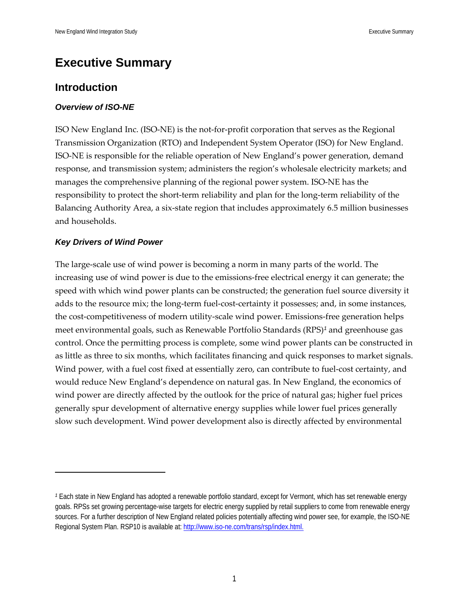## <span id="page-7-0"></span>**Executive Summary**

#### <span id="page-7-1"></span>**Introduction**

#### <span id="page-7-2"></span>*Overview of ISO-NE*

ISO New England Inc. (ISO-NE) is the not-for-profit corporation that serves as the Regional Transmission Organization (RTO) and Independent System Operator (ISO) for New England. ISO-NE is responsible for the reliable operation of New England's power generation, demand response, and transmission system; administers the region's wholesale electricity markets; and manages the comprehensive planning of the regional power system. ISO-NE has the responsibility to protect the short-term reliability and plan for the long-term reliability of the Balancing Authority Area, a six-state region that includes approximately 6.5 million businesses and households.

#### <span id="page-7-3"></span>*Key Drivers of Wind Power*

l

The large-scale use of wind power is becoming a norm in many parts of the world. The increasing use of wind power is due to the emissions-free electrical energy it can generate; the speed with which wind power plants can be constructed; the generation fuel source diversity it adds to the resource mix; the long-term fuel-cost-certainty it possesses; and, in some instances, the cost-competitiveness of modern utility-scale wind power. Emissions-free generation helps meet environmental goals, such as Renewable Portfolio Standards (RPS)*[1](#page-7-4)* and greenhouse gas control. Once the permitting process is complete, some wind power plants can be constructed in as little as three to six months, which facilitates financing and quick responses to market signals. Wind power, with a fuel cost fixed at essentially zero, can contribute to fuel-cost certainty, and would reduce New England's dependence on natural gas. In New England, the economics of wind power are directly affected by the outlook for the price of natural gas; higher fuel prices generally spur development of alternative energy supplies while lower fuel prices generally slow such development. Wind power development also is directly affected by environmental

<span id="page-7-4"></span>*<sup>1</sup>* Each state in New England has adopted a renewable portfolio standard, except for Vermont, which has set renewable energy goals. RPSs set growing percentage-wise targets for electric energy supplied by retail suppliers to come from renewable energy sources. For a further description of New England related policies potentially affecting wind power see, for example, the ISO-NE Regional System Plan. RSP10 is available at: [http://www.iso-ne.com/trans/rsp/index.html.](http://www.iso-ne.com/trans/rsp/index.html)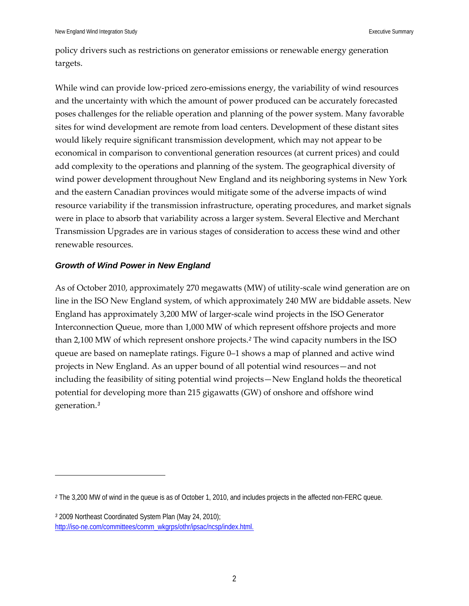policy drivers such as restrictions on generator emissions or renewable energy generation targets.

While wind can provide low-priced zero-emissions energy, the variability of wind resources and the uncertainty with which the amount of power produced can be accurately forecasted poses challenges for the reliable operation and planning of the power system. Many favorable sites for wind development are remote from load centers. Development of these distant sites would likely require significant transmission development, which may not appear to be economical in comparison to conventional generation resources (at current prices) and could add complexity to the operations and planning of the system. The geographical diversity of wind power development throughout New England and its neighboring systems in New York and the eastern Canadian provinces would mitigate some of the adverse impacts of wind resource variability if the transmission infrastructure, operating procedures, and market signals were in place to absorb that variability across a larger system. Several Elective and Merchant Transmission Upgrades are in various stages of consideration to access these wind and other renewable resources.

#### <span id="page-8-0"></span>*Growth of Wind Power in New England*

As of October 2010, approximately 270 megawatts (MW) of utility-scale wind generation are on line in the ISO New England system, of which approximately 240 MW are biddable assets. New England has approximately 3,200 MW of larger-scale wind projects in the ISO Generator Interconnection Queue, more than 1,000 MW of which represent offshore projects and more than 2,100 MW of which represent onshore projects.*[2](#page-8-1)* The wind capacity numbers in the ISO queueare based on nameplate ratings. Figure 0–1 shows a map of planned and active wind projects in New England. As an upper bound of all potential wind resources—and not including the feasibility of siting potential wind projects—New England holds the theoretical potential for developing more than 215 gigawatts (GW) of onshore and offshore wind generation.*[3](#page-8-2)*

l

<span id="page-8-1"></span>*<sup>2</sup>* The 3,200 MW of wind in the queue is as of October 1, 2010, and includes projects in the affected non-FERC queue.

<span id="page-8-2"></span>*<sup>3</sup>* 2009 Northeast Coordinated System Plan (May 24, 2010); http://iso-ne.com/committees/comm\_wkgrps/othr/ipsac/ncsp/index.html.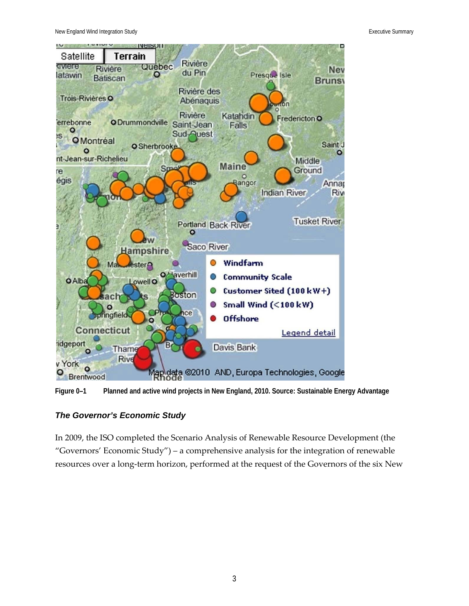

<span id="page-9-1"></span>**Figure 0–1 Planned and active wind projects in New England, 2010. Source: Sustainable Energy Advantage**

#### <span id="page-9-0"></span>*The Governor's Economic Study*

In 2009, the ISO completed the Scenario Analysis of Renewable Resource Development (the "Governors' Economic Study") – a comprehensive analysis for the integration of renewable resources over a long-term horizon, performed at the request of the Governors of the six New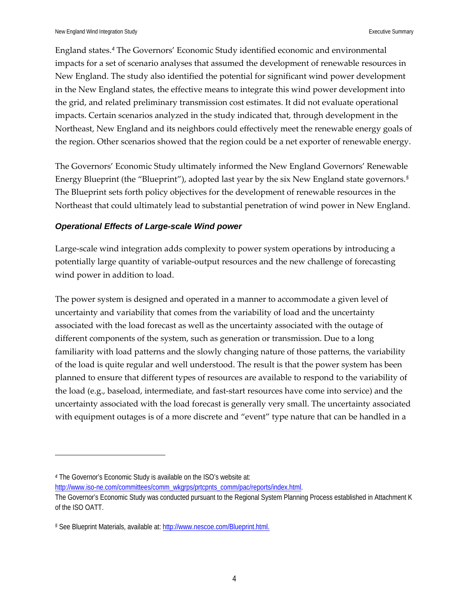England states.*[4](#page-10-1)* The Governors' Economic Study identified economic and environmental impacts for a set of scenario analyses that assumed the development of renewable resources in New England. The study also identified the potential for significant wind power development in the New England states, the effective means to integrate this wind power development into the grid, and related preliminary transmission cost estimates. It did not evaluate operational impacts. Certain scenarios analyzed in the study indicated that, through development in the Northeast, New England and its neighbors could effectively meet the renewable energy goals of the region. Other scenarios showed that the region could be a net exporter of renewable energy.

The Governors' Economic Study ultimately informed the New England Governors' Renewable Energy Blueprint (the "Blueprint"), adopted last year by the six New England state governors. *[5](#page-10-2)* The Blueprint sets forth policy objectives for the development of renewable resources in the Northeast that could ultimately lead to substantial penetration of wind power in New England.

#### <span id="page-10-0"></span>*Operational Effects of Large-scale Wind power*

Large-scale wind integration adds complexity to power system operations by introducing a potentially large quantity of variable-output resources and the new challenge of forecasting wind power in addition to load.

The power system is designed and operated in a manner to accommodate a given level of uncertainty and variability that comes from the variability of load and the uncertainty associated with the load forecast as well as the uncertainty associated with the outage of different components of the system, such as generation or transmission. Due to a long familiarity with load patterns and the slowly changing nature of those patterns, the variability of the load is quite regular and well understood. The result is that the power system has been planned to ensure that different types of resources are available to respond to the variability of the load (e.g., baseload, intermediate, and fast-start resources have come into service) and the uncertainty associated with the load forecast is generally very small. The uncertainty associated with equipment outages is of a more discrete and "event" type nature that can be handled in a

 $\overline{a}$ 

[http://www.iso-ne.com/committees/comm\\_wkgrps/prtcpnts\\_comm/pac/reports/index.html.](http://www.iso-ne.com/committees/comm_wkgrps/prtcpnts_comm/pac/reports/index.html)

<span id="page-10-1"></span>*<sup>4</sup>* The Governor's Economic Study is available on the ISO's website at:

The Governor's Economic Study was conducted pursuant to the Regional System Planning Process established in Attachment K of the ISO OATT.

<span id="page-10-2"></span>*<sup>5</sup>* See Blueprint Materials, available at[: http://www.nescoe.com/Blueprint.html.](http://www.nescoe.com/Blueprint.html)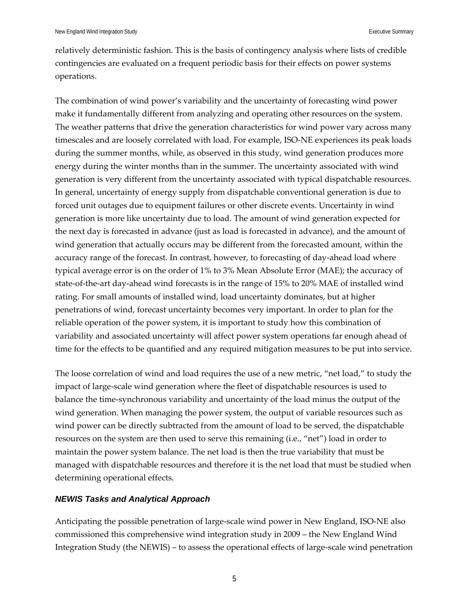relatively deterministic fashion. This is the basis of contingency analysis where lists of credible contingencies are evaluated on a frequent periodic basis for their effects on power systems operations.

The combination of wind power's variability and the uncertainty of forecasting wind power make it fundamentally different from analyzing and operating other resources on the system. The weather patterns that drive the generation characteristics for wind power vary across many timescales and are loosely correlated with load. For example, ISO-NE experiences its peak loads during the summer months, while, as observed in this study, wind generation produces more energy during the winter months than in the summer. The uncertainty associated with wind generation is very different from the uncertainty associated with typical dispatchable resources. In general, uncertainty of energy supply from dispatchable conventional generation is due to forced unit outages due to equipment failures or other discrete events. Uncertainty in wind generation is more like uncertainty due to load. The amount of wind generation expected for the next day is forecasted in advance (just as load is forecasted in advance), and the amount of wind generation that actually occurs may be different from the forecasted amount, within the accuracy range of the forecast. In contrast, however, to forecasting of day-ahead load where typical average error is on the order of 1% to 3% Mean Absolute Error (MAE); the accuracy of state-of-the-art day-ahead wind forecasts is in the range of 15% to 20% MAE of installed wind rating. For small amounts of installed wind, load uncertainty dominates, but at higher penetrations of wind, forecast uncertainty becomes very important. In order to plan for the reliable operation of the power system, it is important to study how this combination of variability and associated uncertainty will affect power system operations far enough ahead of time for the effects to be quantified and any required mitigation measures to be put into service.

The loose correlation of wind and load requires the use of a new metric, "net load," to study the impact of large-scale wind generation where the fleet of dispatchable resources is used to balance the time-synchronous variability and uncertainty of the load minus the output of the wind generation. When managing the power system, the output of variable resources such as wind power can be directly subtracted from the amount of load to be served, the dispatchable resources on the system are then used to serve this remaining (i.e., "net") load in order to maintain the power system balance. The net load is then the true variability that must be managed with dispatchable resources and therefore it is the net load that must be studied when determining operational effects.

#### <span id="page-11-0"></span>*NEWIS Tasks and Analytical Approach*

Anticipating the possible penetration of large-scale wind power in New England, ISO-NE also commissioned this comprehensive wind integration study in 2009 – the New England Wind Integration Study (the NEWIS) – to assess the operational effects of large-scale wind penetration

5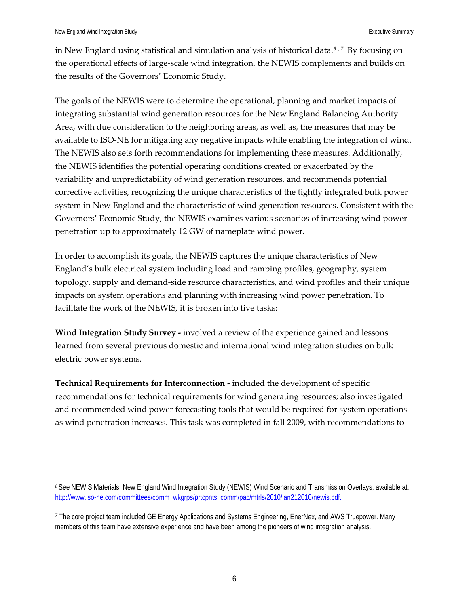l

in New England using statistical and simulation analysis of historical data.*[6](#page-12-0)* , *[7](#page-12-1)* By focusing on the operational effects of large-scale wind integration, the NEWIS complements and builds on the results of the Governors' Economic Study.

The goals of the NEWIS were to determine the operational, planning and market impacts of integrating substantial wind generation resources for the New England Balancing Authority Area, with due consideration to the neighboring areas, as well as, the measures that may be available to ISO-NE for mitigating any negative impacts while enabling the integration of wind. The NEWIS also sets forth recommendations for implementing these measures. Additionally, the NEWIS identifies the potential operating conditions created or exacerbated by the variability and unpredictability of wind generation resources, and recommends potential corrective activities, recognizing the unique characteristics of the tightly integrated bulk power system in New England and the characteristic of wind generation resources. Consistent with the Governors' Economic Study, the NEWIS examines various scenarios of increasing wind power penetration up to approximately 12 GW of nameplate wind power.

In order to accomplish its goals, the NEWIS captures the unique characteristics of New England's bulk electrical system including load and ramping profiles, geography, system topology, supply and demand-side resource characteristics, and wind profiles and their unique impacts on system operations and planning with increasing wind power penetration. To facilitate the work of the NEWIS, it is broken into five tasks:

**Wind Integration Study Survey -** involved a review of the experience gained and lessons learned from several previous domestic and international wind integration studies on bulk electric power systems.

**Technical Requirements for Interconnection -** included the development of specific recommendations for technical requirements for wind generating resources; also investigated and recommended wind power forecasting tools that would be required for system operations as wind penetration increases. This task was completed in fall 2009, with recommendations to

<span id="page-12-0"></span>*<sup>6</sup>* See NEWIS Materials, New England Wind Integration Study (NEWIS) Wind Scenario and Transmission Overlays, available at: [http://www.iso-ne.com/committees/comm\\_wkgrps/prtcpnts\\_comm/pac/mtrls/2010/jan212010/newis.pdf.](http://www.iso-ne.com/committees/comm_wkgrps/prtcpnts_comm/pac/mtrls/2010/jan212010/newis.pdf)

<span id="page-12-1"></span>*<sup>7</sup>* The core project team included GE Energy Applications and Systems Engineering, EnerNex, and AWS Truepower. Many members of this team have extensive experience and have been among the pioneers of wind integration analysis.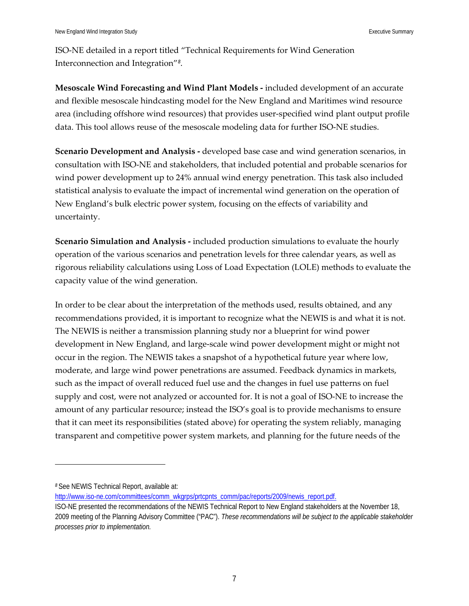ISO-NE detailed in a report titled "Technical Requirements for Wind Generation Interconnection and Integration"*[8](#page-13-0)* .

**Mesoscale Wind Forecasting and Wind Plant Models -** included development of an accurate and flexible mesoscale hindcasting model for the New England and Maritimes wind resource area (including offshore wind resources) that provides user-specified wind plant output profile data. This tool allows reuse of the mesoscale modeling data for further ISO-NE studies.

**Scenario Development and Analysis -** developed base case and wind generation scenarios, in consultation with ISO-NE and stakeholders, that included potential and probable scenarios for wind power development up to 24% annual wind energy penetration. This task also included statistical analysis to evaluate the impact of incremental wind generation on the operation of New England's bulk electric power system, focusing on the effects of variability and uncertainty.

**Scenario Simulation and Analysis -** included production simulations to evaluate the hourly operation of the various scenarios and penetration levels for three calendar years, as well as rigorous reliability calculations using Loss of Load Expectation (LOLE) methods to evaluate the capacity value of the wind generation.

In order to be clear about the interpretation of the methods used, results obtained, and any recommendations provided, it is important to recognize what the NEWIS is and what it is not. The NEWIS is neither a transmission planning study nor a blueprint for wind power development in New England, and large-scale wind power development might or might not occur in the region. The NEWIS takes a snapshot of a hypothetical future year where low, moderate, and large wind power penetrations are assumed. Feedback dynamics in markets, such as the impact of overall reduced fuel use and the changes in fuel use patterns on fuel supply and cost, were not analyzed or accounted for. It is not a goal of ISO-NE to increase the amount of any particular resource; instead the ISO's goal is to provide mechanisms to ensure that it can meet its responsibilities (stated above) for operating the system reliably, managing transparent and competitive power system markets, and planning for the future needs of the

<span id="page-13-0"></span>*<sup>8</sup>* See NEWIS Technical Report, available at:

l

[http://www.iso-ne.com/committees/comm\\_wkgrps/prtcpnts\\_comm/pac/reports/2009/newis\\_report.pdf.](http://www.iso-ne.com/committees/comm_wkgrps/prtcpnts_comm/pac/reports/2009/newis_report.pdf)

ISO-NE presented the recommendations of the NEWIS Technical Report to New England stakeholders at the November 18, 2009 meeting of the Planning Advisory Committee ("PAC"). *These recommendations will be subject to the applicable stakeholder processes prior to implementation.*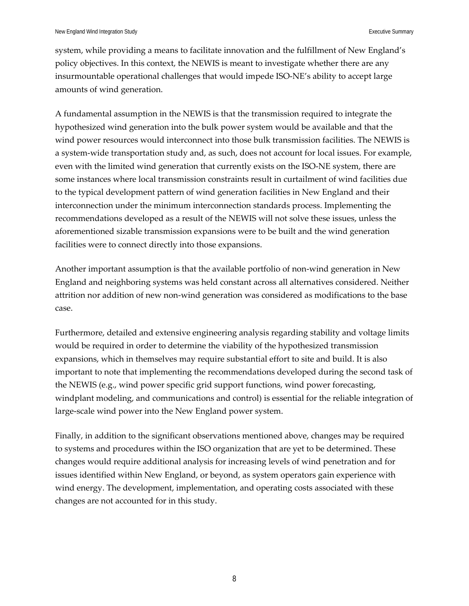system, while providing a means to facilitate innovation and the fulfillment of New England's policy objectives. In this context, the NEWIS is meant to investigate whether there are any insurmountable operational challenges that would impede ISO-NE's ability to accept large amounts of wind generation.

A fundamental assumption in the NEWIS is that the transmission required to integrate the hypothesized wind generation into the bulk power system would be available and that the wind power resources would interconnect into those bulk transmission facilities. The NEWIS is a system-wide transportation study and, as such, does not account for local issues. For example, even with the limited wind generation that currently exists on the ISO-NE system, there are some instances where local transmission constraints result in curtailment of wind facilities due to the typical development pattern of wind generation facilities in New England and their interconnection under the minimum interconnection standards process. Implementing the recommendations developed as a result of the NEWIS will not solve these issues, unless the aforementioned sizable transmission expansions were to be built and the wind generation facilities were to connect directly into those expansions.

Another important assumption is that the available portfolio of non-wind generation in New England and neighboring systems was held constant across all alternatives considered. Neither attrition nor addition of new non-wind generation was considered as modifications to the base case.

Furthermore, detailed and extensive engineering analysis regarding stability and voltage limits would be required in order to determine the viability of the hypothesized transmission expansions, which in themselves may require substantial effort to site and build. It is also important to note that implementing the recommendations developed during the second task of the NEWIS (e.g., wind power specific grid support functions, wind power forecasting, windplant modeling, and communications and control) is essential for the reliable integration of large-scale wind power into the New England power system.

Finally, in addition to the significant observations mentioned above, changes may be required to systems and procedures within the ISO organization that are yet to be determined. These changes would require additional analysis for increasing levels of wind penetration and for issues identified within New England, or beyond, as system operators gain experience with wind energy. The development, implementation, and operating costs associated with these changes are not accounted for in this study.

8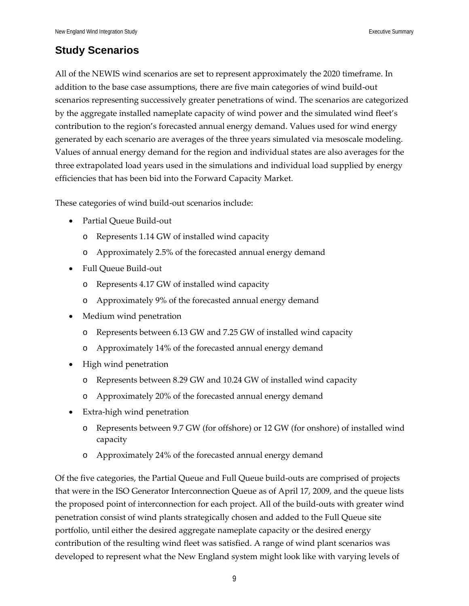### <span id="page-15-0"></span>**Study Scenarios**

All of the NEWIS wind scenarios are set to represent approximately the 2020 timeframe. In addition to the base case assumptions, there are five main categories of wind build-out scenarios representing successively greater penetrations of wind. The scenarios are categorized by the aggregate installed nameplate capacity of wind power and the simulated wind fleet's contribution to the region's forecasted annual energy demand. Values used for wind energy generated by each scenario are averages of the three years simulated via mesoscale modeling. Values of annual energy demand for the region and individual states are also averages for the three extrapolated load years used in the simulations and individual load supplied by energy efficiencies that has been bid into the Forward Capacity Market.

These categories of wind build-out scenarios include:

- Partial Queue Build-out
	- o Represents 1.14 GW of installed wind capacity
	- o Approximately 2.5% of the forecasted annual energy demand
- Full Queue Build-out
	- o Represents 4.17 GW of installed wind capacity
	- o Approximately 9% of the forecasted annual energy demand
- Medium wind penetration
	- o Represents between 6.13 GW and 7.25 GW of installed wind capacity
	- o Approximately 14% of the forecasted annual energy demand
- High wind penetration
	- o Represents between 8.29 GW and 10.24 GW of installed wind capacity
	- o Approximately 20% of the forecasted annual energy demand
- Extra-high wind penetration
	- o Represents between 9.7 GW (for offshore) or 12 GW (for onshore) of installed wind capacity
	- o Approximately 24% of the forecasted annual energy demand

Of the five categories, the Partial Queue and Full Queue build-outs are comprised of projects that were in the ISO Generator Interconnection Queue as of April 17, 2009, and the queue lists the proposed point of interconnection for each project. All of the build-outs with greater wind penetration consist of wind plants strategically chosen and added to the Full Queue site portfolio, until either the desired aggregate nameplate capacity or the desired energy contribution of the resulting wind fleet was satisfied. A range of wind plant scenarios was developed to represent what the New England system might look like with varying levels of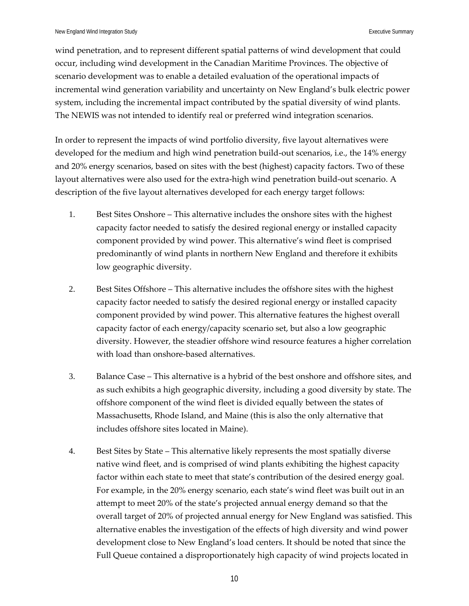wind penetration, and to represent different spatial patterns of wind development that could occur, including wind development in the Canadian Maritime Provinces. The objective of scenario development was to enable a detailed evaluation of the operational impacts of incremental wind generation variability and uncertainty on New England's bulk electric power system, including the incremental impact contributed by the spatial diversity of wind plants. The NEWIS was not intended to identify real or preferred wind integration scenarios.

In order to represent the impacts of wind portfolio diversity, five layout alternatives were developed for the medium and high wind penetration build-out scenarios, i.e., the 14% energy and 20% energy scenarios, based on sites with the best (highest) capacity factors. Two of these layout alternatives were also used for the extra-high wind penetration build-out scenario. A description of the five layout alternatives developed for each energy target follows:

- 1. Best Sites Onshore This alternative includes the onshore sites with the highest capacity factor needed to satisfy the desired regional energy or installed capacity component provided by wind power. This alternative's wind fleet is comprised predominantly of wind plants in northern New England and therefore it exhibits low geographic diversity.
- 2. Best Sites Offshore This alternative includes the offshore sites with the highest capacity factor needed to satisfy the desired regional energy or installed capacity component provided by wind power. This alternative features the highest overall capacity factor of each energy/capacity scenario set, but also a low geographic diversity. However, the steadier offshore wind resource features a higher correlation with load than onshore-based alternatives.
- 3. Balance Case This alternative is a hybrid of the best onshore and offshore sites, and as such exhibits a high geographic diversity, including a good diversity by state. The offshore component of the wind fleet is divided equally between the states of Massachusetts, Rhode Island, and Maine (this is also the only alternative that includes offshore sites located in Maine).
- 4. Best Sites by State This alternative likely represents the most spatially diverse native wind fleet, and is comprised of wind plants exhibiting the highest capacity factor within each state to meet that state's contribution of the desired energy goal. For example, in the 20% energy scenario, each state's wind fleet was built out in an attempt to meet 20% of the state's projected annual energy demand so that the overall target of 20% of projected annual energy for New England was satisfied. This alternative enables the investigation of the effects of high diversity and wind power development close to New England's load centers. It should be noted that since the Full Queue contained a disproportionately high capacity of wind projects located in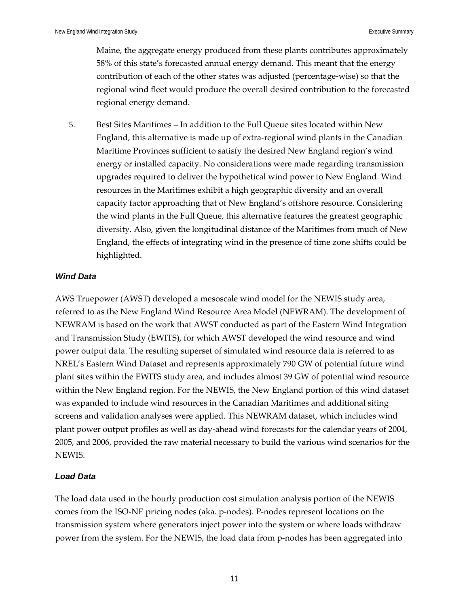Maine, the aggregate energy produced from these plants contributes approximately 58% of this state's forecasted annual energy demand. This meant that the energy contribution of each of the other states was adjusted (percentage-wise) so that the regional wind fleet would produce the overall desired contribution to the forecasted regional energy demand.

5. Best Sites Maritimes – In addition to the Full Queue sites located within New England, this alternative is made up of extra-regional wind plants in the Canadian Maritime Provinces sufficient to satisfy the desired New England region's wind energy or installed capacity. No considerations were made regarding transmission upgrades required to deliver the hypothetical wind power to New England. Wind resources in the Maritimes exhibit a high geographic diversity and an overall capacity factor approaching that of New England's offshore resource. Considering the wind plants in the Full Queue, this alternative features the greatest geographic diversity. Also, given the longitudinal distance of the Maritimes from much of New England, the effects of integrating wind in the presence of time zone shifts could be highlighted.

#### <span id="page-17-0"></span>*Wind Data*

AWS Truepower (AWST) developed a mesoscale wind model for the NEWIS study area, referred to as the New England Wind Resource Area Model (NEWRAM). The development of NEWRAM is based on the work that AWST conducted as part of the Eastern Wind Integration and Transmission Study (EWITS), for which AWST developed the wind resource and wind power output data. The resulting superset of simulated wind resource data is referred to as NREL's Eastern Wind Dataset and represents approximately 790 GW of potential future wind plant sites within the EWITS study area, and includes almost 39 GW of potential wind resource within the New England region. For the NEWIS, the New England portion of this wind dataset was expanded to include wind resources in the Canadian Maritimes and additional siting screens and validation analyses were applied. This NEWRAM dataset, which includes wind plant power output profiles as well as day-ahead wind forecasts for the calendar years of 2004, 2005, and 2006, provided the raw material necessary to build the various wind scenarios for the NEWIS.

#### <span id="page-17-1"></span>*Load Data*

The load data used in the hourly production cost simulation analysis portion of the NEWIS comes from the ISO-NE pricing nodes (aka. p-nodes). P-nodes represent locations on the transmission system where generators inject power into the system or where loads withdraw power from the system. For the NEWIS, the load data from p-nodes has been aggregated into

11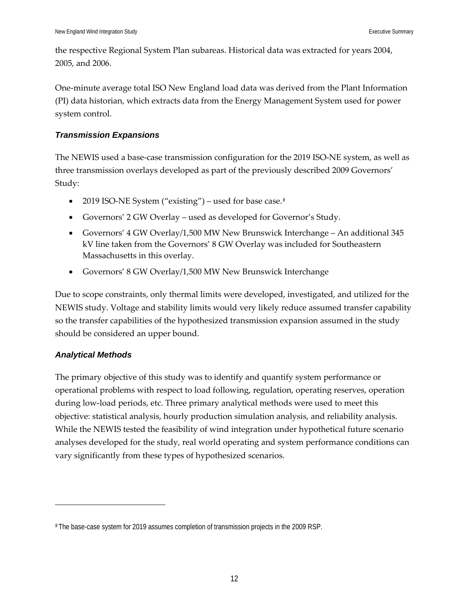the respective Regional System Plan subareas. Historical data was extracted for years 2004, 2005, and 2006.

One-minute average total ISO New England load data was derived from the Plant Information (PI) data historian, which extracts data from the Energy Management System used for power system control.

#### <span id="page-18-0"></span>*Transmission Expansions*

The NEWIS used a base-case transmission configuration for the 2019 ISO-NE system, as well as three transmission overlays developed as part of the previously described 2009 Governors' Study:

- 2019 ISO-NE System ("existing") used for base case.*[9](#page-18-2)*
- Governors' 2 GW Overlay used as developed for Governor's Study.
- Governors' 4 GW Overlay/1,500 MW New Brunswick Interchange An additional 345 kV line taken from the Governors' 8 GW Overlay was included for Southeastern Massachusetts in this overlay.
- Governors' 8 GW Overlay/1,500 MW New Brunswick Interchange

Due to scope constraints, only thermal limits were developed, investigated, and utilized for the NEWIS study. Voltage and stability limits would very likely reduce assumed transfer capability so the transfer capabilities of the hypothesized transmission expansion assumed in the study should be considered an upper bound.

#### <span id="page-18-1"></span>*Analytical Methods*

 $\overline{a}$ 

The primary objective of this study was to identify and quantify system performance or operational problems with respect to load following, regulation, operating reserves, operation during low-load periods, etc. Three primary analytical methods were used to meet this objective: statistical analysis, hourly production simulation analysis, and reliability analysis. While the NEWIS tested the feasibility of wind integration under hypothetical future scenario analyses developed for the study, real world operating and system performance conditions can vary significantly from these types of hypothesized scenarios.

<span id="page-18-2"></span>*<sup>9</sup>* The base-case system for 2019 assumes completion of transmission projects in the 2009 RSP.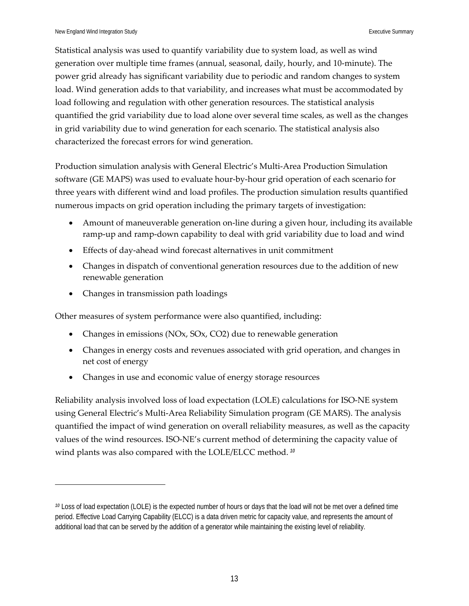$\overline{a}$ 

Statistical analysis was used to quantify variability due to system load, as well as wind generation over multiple time frames (annual, seasonal, daily, hourly, and 10-minute). The power grid already has significant variability due to periodic and random changes to system load. Wind generation adds to that variability, and increases what must be accommodated by load following and regulation with other generation resources. The statistical analysis quantified the grid variability due to load alone over several time scales, as well as the changes in grid variability due to wind generation for each scenario. The statistical analysis also characterized the forecast errors for wind generation.

Production simulation analysis with General Electric's Multi-Area Production Simulation software (GE MAPS) was used to evaluate hour-by-hour grid operation of each scenario for three years with different wind and load profiles. The production simulation results quantified numerous impacts on grid operation including the primary targets of investigation:

- Amount of maneuverable generation on-line during a given hour, including its available ramp-up and ramp-down capability to deal with grid variability due to load and wind
- Effects of day-ahead wind forecast alternatives in unit commitment
- Changes in dispatch of conventional generation resources due to the addition of new renewable generation
- Changes in transmission path loadings

Other measures of system performance were also quantified, including:

- Changes in emissions (NOx, SOx, CO2) due to renewable generation
- Changes in energy costs and revenues associated with grid operation, and changes in net cost of energy
- Changes in use and economic value of energy storage resources

Reliability analysis involved loss of load expectation (LOLE) calculations for ISO-NE system using General Electric's Multi-Area Reliability Simulation program (GE MARS). The analysis quantified the impact of wind generation on overall reliability measures, as well as the capacity values of the wind resources. ISO-NE's current method of determining the capacity value of wind plants was also compared with the LOLE/ELCC method. *[10](#page-19-0)*

<span id="page-19-0"></span>*<sup>10</sup>* Loss of load expectation (LOLE) is the expected number of hours or days that the load will not be met over a defined time period. Effective Load Carrying Capability (ELCC) is a data driven metric for capacity value, and represents the amount of additional load that can be served by the addition of a generator while maintaining the existing level of reliability.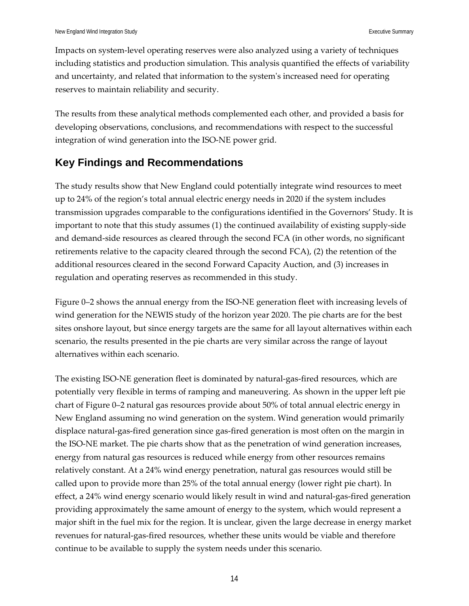Impacts on system-level operating reserves were also analyzed using a variety of techniques including statistics and production simulation. This analysis quantified the effects of variability and uncertainty, and related that information to the system's increased need for operating reserves to maintain reliability and security.

The results from these analytical methods complemented each other, and provided a basis for developing observations, conclusions, and recommendations with respect to the successful integration of wind generation into the ISO-NE power grid.

### <span id="page-20-0"></span>**Key Findings and Recommendations**

The study results show that New England could potentially integrate wind resources to meet up to 24% of the region's total annual electric energy needs in 2020 if the system includes transmission upgrades comparable to the configurations identified in the Governors' Study. It is important to note that this study assumes (1) the continued availability of existing supply-side and demand-side resources as cleared through the second FCA (in other words, no significant retirements relative to the capacity cleared through the second FCA), (2) the retention of the additional resources cleared in the second Forward Capacity Auction, and (3) increases in regulation and operating reserves as recommended in this study.

[Figure 0–2](#page-21-0) shows the annual energy from the ISO-NE generation fleet with increasing levels of wind generation for the NEWIS study of the horizon year 2020. The pie charts are for the best sites onshore layout, but since energy targets are the same for all layout alternatives within each scenario, the results presented in the pie charts are very similar across the range of layout alternatives within each scenario.

The existing ISO-NE generation fleet is dominated by natural-gas-fired resources, which are potentially very flexible in terms of ramping and maneuvering. As shown in the upper left pie chart of [Figure 0–2](#page-21-0) natural gas resources provide about 50% of total annual electric energy in New England assuming no wind generation on the system. Wind generation would primarily displace natural-gas-fired generation since gas-fired generation is most often on the margin in the ISO-NE market. The pie charts show that as the penetration of wind generation increases, energy from natural gas resources is reduced while energy from other resources remains relatively constant. At a 24% wind energy penetration, natural gas resources would still be called upon to provide more than 25% of the total annual energy (lower right pie chart). In effect, a 24% wind energy scenario would likely result in wind and natural-gas-fired generation providing approximately the same amount of energy to the system, which would represent a major shift in the fuel mix for the region. It is unclear, given the large decrease in energy market revenues for natural-gas-fired resources, whether these units would be viable and therefore continue to be available to supply the system needs under this scenario.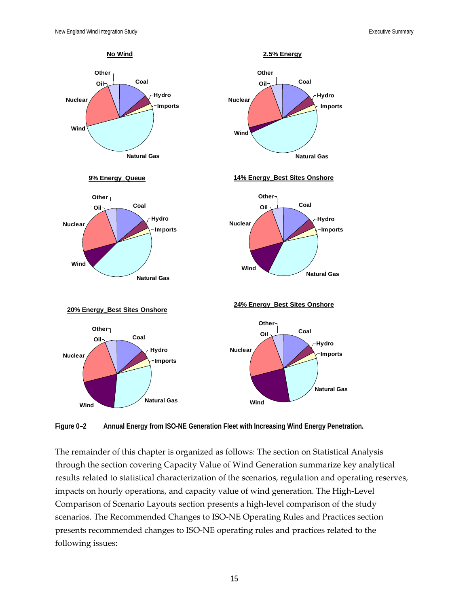

<span id="page-21-0"></span>**Figure 0–2 Annual Energy from ISO-NE Generation Fleet with Increasing Wind Energy Penetration.**

The remainder of this chapter is organized as follows: The section on [Statistical Analysis](#page-22-0) through the section covering [Capacity Value of Wind Generation](#page-31-0) summarize key analytical results related to statistical characterization of the scenarios, regulation and operating reserves, impacts on hourly operations, and capacity value of wind generation. The [High-Level](#page-32-0)  [Comparison of Scenario Layouts](#page-32-0) section presents a high-level comparison of the study scenarios. The [Recommended Changes to ISO-NE Operating Rules and Practices](#page-33-0) section presents recommended changes to ISO-NE operating rules and practices related to the following issues: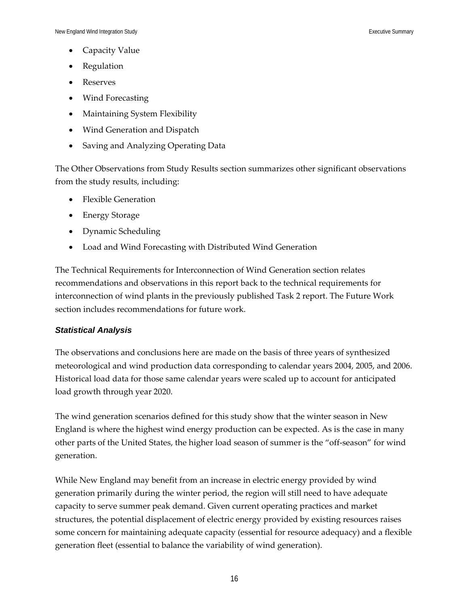New England Wind Integration Study executive Summary Executive Summary Executive Summary

- Capacity Value
- Regulation
- Reserves
- Wind Forecasting
- Maintaining System Flexibility
- Wind Generation and Dispatch
- Saving and Analyzing Operating Data

The [Other Observations from Study Results](#page-36-0) section summarizes other significant observations from the study results, including:

- Flexible Generation
- Energy Storage
- Dynamic Scheduling
- Load and Wind Forecasting with Distributed Wind Generation

The [Technical Requirements for Interconnection of Wind Generation](#page-38-0) section relates recommendations and observations in this report back to the technical requirements for interconnection of wind plants in the previously published Task 2 report. The [Future Work](#page-39-0) section includes recommendations for future work.

#### <span id="page-22-0"></span>*Statistical Analysis*

The observations and conclusions here are made on the basis of three years of synthesized meteorological and wind production data corresponding to calendar years 2004, 2005, and 2006. Historical load data for those same calendar years were scaled up to account for anticipated load growth through year 2020.

The wind generation scenarios defined for this study show that the winter season in New England is where the highest wind energy production can be expected. As is the case in many other parts of the United States, the higher load season of summer is the "off-season" for wind generation.

While New England may benefit from an increase in electric energy provided by wind generation primarily during the winter period, the region will still need to have adequate capacity to serve summer peak demand. Given current operating practices and market structures, the potential displacement of electric energy provided by existing resources raises some concern for maintaining adequate capacity (essential for resource adequacy) and a flexible generation fleet (essential to balance the variability of wind generation).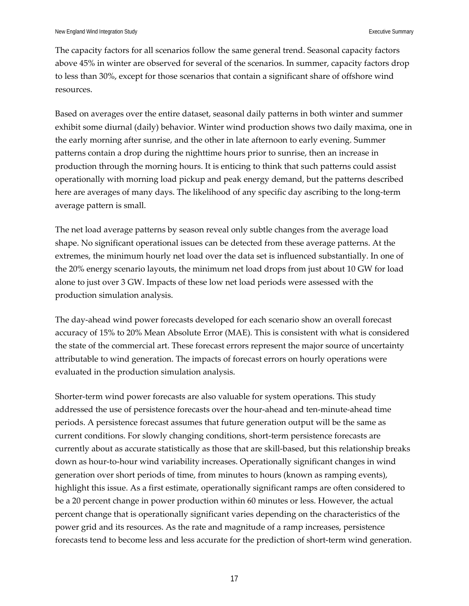The capacity factors for all scenarios follow the same general trend. Seasonal capacity factors above 45% in winter are observed for several of the scenarios. In summer, capacity factors drop to less than 30%, except for those scenarios that contain a significant share of offshore wind resources.

Based on averages over the entire dataset, seasonal daily patterns in both winter and summer exhibit some diurnal (daily) behavior. Winter wind production shows two daily maxima, one in the early morning after sunrise, and the other in late afternoon to early evening. Summer patterns contain a drop during the nighttime hours prior to sunrise, then an increase in production through the morning hours. It is enticing to think that such patterns could assist operationally with morning load pickup and peak energy demand, but the patterns described here are averages of many days. The likelihood of any specific day ascribing to the long-term average pattern is small.

The net load average patterns by season reveal only subtle changes from the average load shape. No significant operational issues can be detected from these average patterns. At the extremes, the minimum hourly net load over the data set is influenced substantially. In one of the 20% energy scenario layouts, the minimum net load drops from just about 10 GW for load alone to just over 3 GW. Impacts of these low net load periods were assessed with the production simulation analysis.

The day-ahead wind power forecasts developed for each scenario show an overall forecast accuracy of 15% to 20% Mean Absolute Error (MAE). This is consistent with what is considered the state of the commercial art. These forecast errors represent the major source of uncertainty attributable to wind generation. The impacts of forecast errors on hourly operations were evaluated in the production simulation analysis.

Shorter-term wind power forecasts are also valuable for system operations. This study addressed the use of persistence forecasts over the hour-ahead and ten-minute-ahead time periods. A persistence forecast assumes that future generation output will be the same as current conditions. For slowly changing conditions, short-term persistence forecasts are currently about as accurate statistically as those that are skill-based, but this relationship breaks down as hour-to-hour wind variability increases. Operationally significant changes in wind generation over short periods of time, from minutes to hours (known as ramping events), highlight this issue. As a first estimate, operationally significant ramps are often considered to be a 20 percent change in power production within 60 minutes or less. However, the actual percent change that is operationally significant varies depending on the characteristics of the power grid and its resources. As the rate and magnitude of a ramp increases, persistence forecasts tend to become less and less accurate for the prediction of short-term wind generation.

17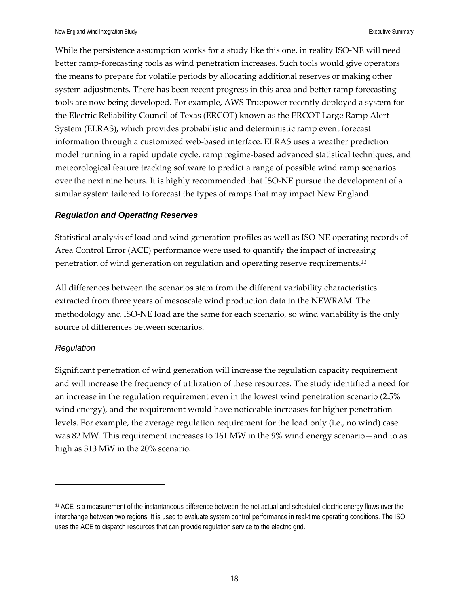While the persistence assumption works for a study like this one, in reality ISO-NE will need better ramp-forecasting tools as wind penetration increases. Such tools would give operators the means to prepare for volatile periods by allocating additional reserves or making other system adjustments. There has been recent progress in this area and better ramp forecasting tools are now being developed. For example, AWS Truepower recently deployed a system for the Electric Reliability Council of Texas (ERCOT) known as the ERCOT Large Ramp Alert System (ELRAS), which provides probabilistic and deterministic ramp event forecast information through a customized web-based interface. ELRAS uses a weather prediction model running in a rapid update cycle, ramp regime-based advanced statistical techniques, and meteorological feature tracking software to predict a range of possible wind ramp scenarios over the next nine hours. It is highly recommended that ISO-NE pursue the development of a similar system tailored to forecast the types of ramps that may impact New England.

#### <span id="page-24-0"></span>*Regulation and Operating Reserves*

Statistical analysis of load and wind generation profiles as well as ISO-NE operating records of Area Control Error (ACE) performance were used to quantify the impact of increasing penetration of wind generation on regulation and operating reserve requirements.*[11](#page-24-1)*

All differences between the scenarios stem from the different variability characteristics extracted from three years of mesoscale wind production data in the NEWRAM. The methodology and ISO-NE load are the same for each scenario, so wind variability is the only source of differences between scenarios.

#### *Regulation*

 $\overline{a}$ 

Significant penetration of wind generation will increase the regulation capacity requirement and will increase the frequency of utilization of these resources. The study identified a need for an increase in the regulation requirement even in the lowest wind penetration scenario (2.5% wind energy), and the requirement would have noticeable increases for higher penetration levels. For example, the average regulation requirement for the load only (i.e., no wind) case was 82 MW. This requirement increases to 161 MW in the 9% wind energy scenario—and to as high as 313 MW in the 20% scenario.

<span id="page-24-1"></span>*<sup>11</sup>* ACE is a measurement of the instantaneous difference between the net actual and scheduled electric energy flows over the interchange between two regions. It is used to evaluate system control performance in real-time operating conditions. The ISO uses the ACE to dispatch resources that can provide regulation service to the electric grid.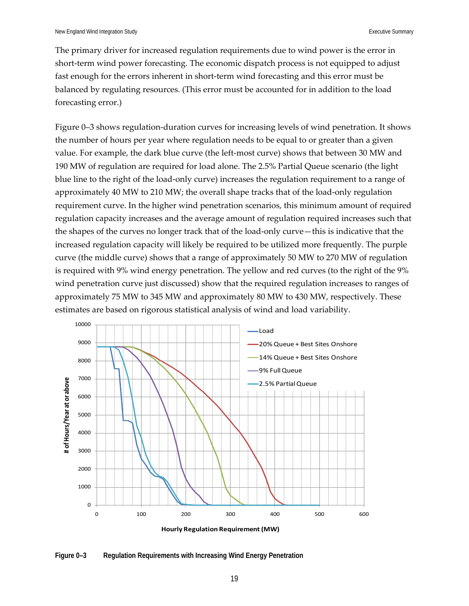The primary driver for increased regulation requirements due to wind power is the error in short-term wind power forecasting. The economic dispatch process is not equipped to adjust fast enough for the errors inherent in short-term wind forecasting and this error must be balanced by regulating resources. (This error must be accounted for in addition to the load forecasting error.)

[Figure 0–3](#page-25-0) shows regulation-duration curves for increasing levels of wind penetration. It shows the number of hours per year where regulation needs to be equal to or greater than a given value. For example, the dark blue curve (the left-most curve) shows that between 30 MW and 190 MW of regulation are required for load alone. The 2.5% Partial Queue scenario (the light blue line to the right of the load-only curve) increases the regulation requirement to a range of approximately 40 MW to 210 MW; the overall shape tracks that of the load-only regulation requirement curve. In the higher wind penetration scenarios, this minimum amount of required regulation capacity increases and the average amount of regulation required increases such that the shapes of the curves no longer track that of the load-only curve—this is indicative that the increased regulation capacity will likely be required to be utilized more frequently. The purple curve (the middle curve) shows that a range of approximately 50 MW to 270 MW of regulation is required with 9% wind energy penetration. The yellow and red curves (to the right of the 9% wind penetration curve just discussed) show that the required regulation increases to ranges of approximately 75 MW to 345 MW and approximately 80 MW to 430 MW, respectively. These estimates are based on rigorous statistical analysis of wind and load variability.



<span id="page-25-0"></span>**Figure 0–3 Regulation Requirements with Increasing Wind Energy Penetration**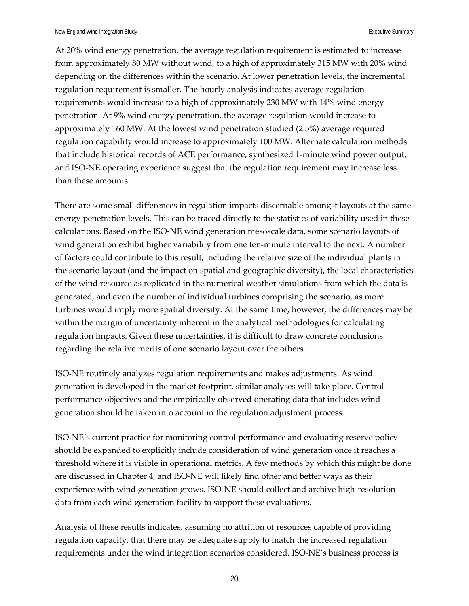New England Wind Integration Study executive Summary Executive Summary Executive Summary

At 20% wind energy penetration, the average regulation requirement is estimated to increase from approximately 80 MW without wind, to a high of approximately 315 MW with 20% wind depending on the differences within the scenario. At lower penetration levels, the incremental regulation requirement is smaller. The hourly analysis indicates average regulation requirements would increase to a high of approximately 230 MW with 14% wind energy penetration. At 9% wind energy penetration, the average regulation would increase to approximately 160 MW. At the lowest wind penetration studied (2.5%) average required regulation capability would increase to approximately 100 MW. Alternate calculation methods that include historical records of ACE performance, synthesized 1-minute wind power output, and ISO-NE operating experience suggest that the regulation requirement may increase less than these amounts.

There are some small differences in regulation impacts discernable amongst layouts at the same energy penetration levels. This can be traced directly to the statistics of variability used in these calculations. Based on the ISO-NE wind generation mesoscale data, some scenario layouts of wind generation exhibit higher variability from one ten-minute interval to the next. A number of factors could contribute to this result, including the relative size of the individual plants in the scenario layout (and the impact on spatial and geographic diversity), the local characteristics of the wind resource as replicated in the numerical weather simulations from which the data is generated, and even the number of individual turbines comprising the scenario, as more turbines would imply more spatial diversity. At the same time, however, the differences may be within the margin of uncertainty inherent in the analytical methodologies for calculating regulation impacts. Given these uncertainties, it is difficult to draw concrete conclusions regarding the relative merits of one scenario layout over the others.

ISO-NE routinely analyzes regulation requirements and makes adjustments. As wind generation is developed in the market footprint, similar analyses will take place. Control performance objectives and the empirically observed operating data that includes wind generation should be taken into account in the regulation adjustment process.

ISO-NE's current practice for monitoring control performance and evaluating reserve policy should be expanded to explicitly include consideration of wind generation once it reaches a threshold where it is visible in operational metrics. A few methods by which this might be done are discussed in Chapter 4, and ISO-NE will likely find other and better ways as their experience with wind generation grows. ISO-NE should collect and archive high-resolution data from each wind generation facility to support these evaluations.

Analysis of these results indicates, assuming no attrition of resources capable of providing regulation capacity, that there may be adequate supply to match the increased regulation requirements under the wind integration scenarios considered. ISO-NE's business process is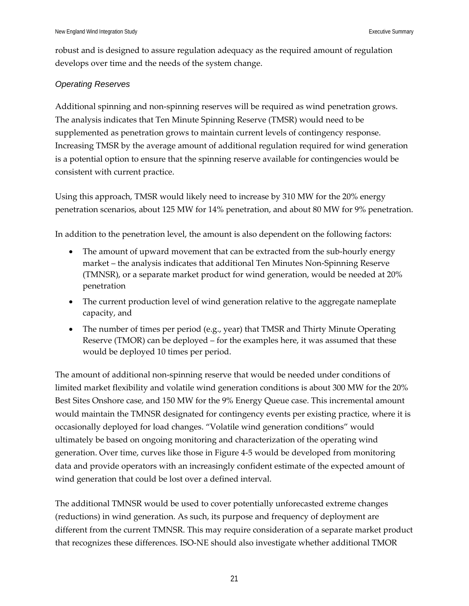robust and is designed to assure regulation adequacy as the required amount of regulation develops over time and the needs of the system change.

#### *Operating Reserves*

Additional spinning and non-spinning reserves will be required as wind penetration grows. The analysis indicates that Ten Minute Spinning Reserve (TMSR) would need to be supplemented as penetration grows to maintain current levels of contingency response. Increasing TMSR by the average amount of additional regulation required for wind generation is a potential option to ensure that the spinning reserve available for contingencies would be consistent with current practice.

Using this approach, TMSR would likely need to increase by 310 MW for the 20% energy penetration scenarios, about 125 MW for 14% penetration, and about 80 MW for 9% penetration.

In addition to the penetration level, the amount is also dependent on the following factors:

- The amount of upward movement that can be extracted from the sub-hourly energy market – the analysis indicates that additional Ten Minutes Non-Spinning Reserve (TMNSR), or a separate market product for wind generation, would be needed at 20% penetration
- The current production level of wind generation relative to the aggregate nameplate capacity, and
- The number of times per period (e.g., year) that TMSR and Thirty Minute Operating Reserve (TMOR) can be deployed – for the examples here, it was assumed that these would be deployed 10 times per period.

The amount of additional non-spinning reserve that would be needed under conditions of limited market flexibility and volatile wind generation conditions is about 300 MW for the 20% Best Sites Onshore case, and 150 MW for the 9% Energy Queue case. This incremental amount would maintain the TMNSR designated for contingency events per existing practice, where it is occasionally deployed for load changes. "Volatile wind generation conditions" would ultimately be based on ongoing monitoring and characterization of the operating wind generation. Over time, curves like those in Figure 4-5 would be developed from monitoring data and provide operators with an increasingly confident estimate of the expected amount of wind generation that could be lost over a defined interval.

The additional TMNSR would be used to cover potentially unforecasted extreme changes (reductions) in wind generation. As such, its purpose and frequency of deployment are different from the current TMNSR. This may require consideration of a separate market product that recognizes these differences. ISO-NE should also investigate whether additional TMOR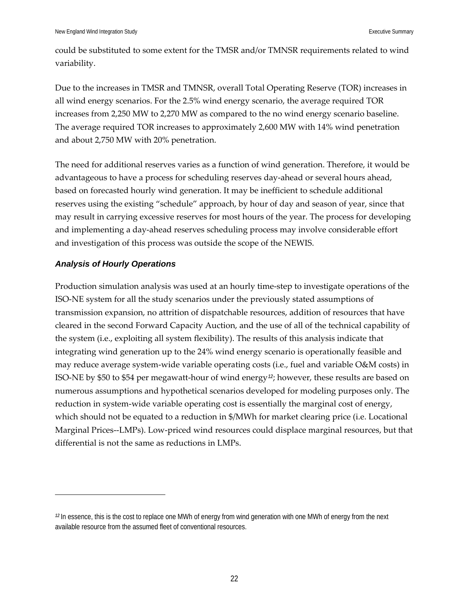could be substituted to some extent for the TMSR and/or TMNSR requirements related to wind variability.

Due to the increases in TMSR and TMNSR, overall Total Operating Reserve (TOR) increases in all wind energy scenarios. For the 2.5% wind energy scenario, the average required TOR increases from 2,250 MW to 2,270 MW as compared to the no wind energy scenario baseline. The average required TOR increases to approximately 2,600 MW with 14% wind penetration and about 2,750 MW with 20% penetration.

The need for additional reserves varies as a function of wind generation. Therefore, it would be advantageous to have a process for scheduling reserves day-ahead or several hours ahead, based on forecasted hourly wind generation. It may be inefficient to schedule additional reserves using the existing "schedule" approach, by hour of day and season of year, since that may result in carrying excessive reserves for most hours of the year. The process for developing and implementing a day-ahead reserves scheduling process may involve considerable effort and investigation of this process was outside the scope of the NEWIS.

#### <span id="page-28-0"></span>*Analysis of Hourly Operations*

 $\overline{a}$ 

Production simulation analysis was used at an hourly time-step to investigate operations of the ISO-NE system for all the study scenarios under the previously stated assumptions of transmission expansion, no attrition of dispatchable resources, addition of resources that have cleared in the second Forward Capacity Auction, and the use of all of the technical capability of the system (i.e., exploiting all system flexibility). The results of this analysis indicate that integrating wind generation up to the 24% wind energy scenario is operationally feasible and may reduce average system-wide variable operating costs (i.e., fuel and variable O&M costs) in ISO-NE by \$50 to \$54 per megawatt-hour of wind energy*[12](#page-28-1)* ; however, these results are based on numerous assumptions and hypothetical scenarios developed for modeling purposes only. The reduction in system-wide variable operating cost is essentially the marginal cost of energy, which should not be equated to a reduction in \$/MWh for market clearing price (i.e. Locational Marginal Prices--LMPs). Low-priced wind resources could displace marginal resources, but that differential is not the same as reductions in LMPs.

<span id="page-28-1"></span>*<sup>12</sup>* In essence, this is the cost to replace one MWh of energy from wind generation with one MWh of energy from the next available resource from the assumed fleet of conventional resources.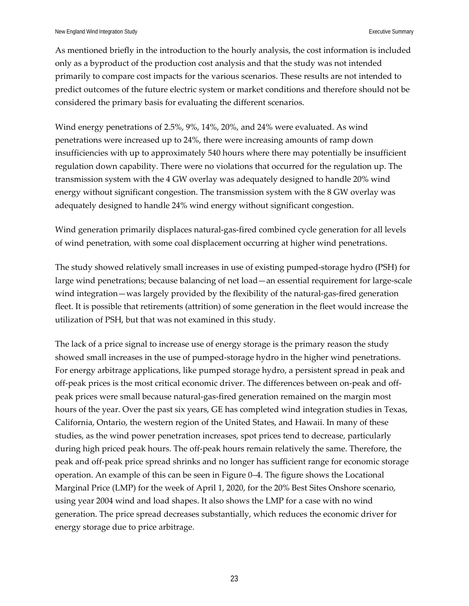As mentioned briefly in the introduction to the hourly analysis, the cost information is included only as a byproduct of the production cost analysis and that the study was not intended primarily to compare cost impacts for the various scenarios. These results are not intended to predict outcomes of the future electric system or market conditions and therefore should not be considered the primary basis for evaluating the different scenarios.

Wind energy penetrations of 2.5%, 9%, 14%, 20%, and 24% were evaluated. As wind penetrations were increased up to 24%, there were increasing amounts of ramp down insufficiencies with up to approximately 540 hours where there may potentially be insufficient regulation down capability. There were no violations that occurred for the regulation up. The transmission system with the 4 GW overlay was adequately designed to handle 20% wind energy without significant congestion. The transmission system with the 8 GW overlay was adequately designed to handle 24% wind energy without significant congestion.

Wind generation primarily displaces natural-gas-fired combined cycle generation for all levels of wind penetration, with some coal displacement occurring at higher wind penetrations.

The study showed relatively small increases in use of existing pumped-storage hydro (PSH) for large wind penetrations; because balancing of net load—an essential requirement for large-scale wind integration—was largely provided by the flexibility of the natural-gas-fired generation fleet. It is possible that retirements (attrition) of some generation in the fleet would increase the utilization of PSH, but that was not examined in this study.

The lack of a price signal to increase use of energy storage is the primary reason the study showed small increases in the use of pumped-storage hydro in the higher wind penetrations. For energy arbitrage applications, like pumped storage hydro, a persistent spread in peak and off-peak prices is the most critical economic driver. The differences between on-peak and offpeak prices were small because natural-gas-fired generation remained on the margin most hours of the year. Over the past six years, GE has completed wind integration studies in Texas, California, Ontario, the western region of the United States, and Hawaii. In many of these studies, as the wind power penetration increases, spot prices tend to decrease, particularly during high priced peak hours. The off-peak hours remain relatively the same. Therefore, the peak and off-peak price spread shrinks and no longer has sufficient range for economic storage operation. An example of this can be seen in [Figure 0–4.](#page-30-0) The figure shows the Locational Marginal Price (LMP) for the week of April 1, 2020, for the 20% Best Sites Onshore scenario, using year 2004 wind and load shapes. It also shows the LMP for a case with no wind generation. The price spread decreases substantially, which reduces the economic driver for energy storage due to price arbitrage.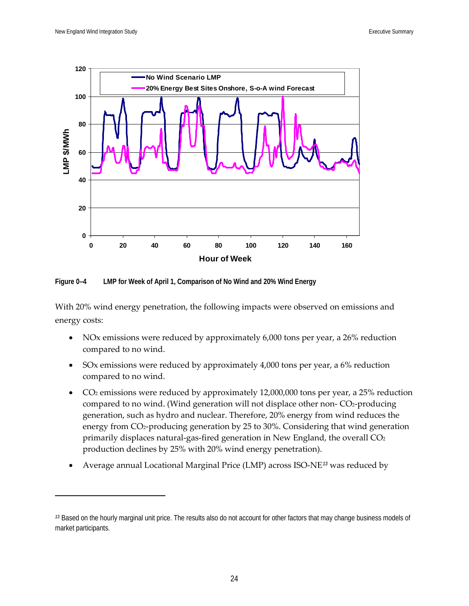l



<span id="page-30-0"></span>**Figure 0–4 LMP for Week of April 1, Comparison of No Wind and 20% Wind Energy**

With 20% wind energy penetration, the following impacts were observed on emissions and energy costs:

- NOx emissions were reduced by approximately 6,000 tons per year, a 26% reduction compared to no wind.
- SOx emissions were reduced by approximately 4,000 tons per year, a 6% reduction compared to no wind.
- CO<sub>2</sub> emissions were reduced by approximately 12,000,000 tons per year, a 25% reduction compared to no wind. (Wind generation will not displace other non-CO2-producing generation, such as hydro and nuclear. Therefore, 20% energy from wind reduces the energy from CO2-producing generation by 25 to 30%. Considering that wind generation primarily displaces natural-gas-fired generation in New England, the overall CO<sub>2</sub> production declines by 25% with 20% wind energy penetration).
- Average annual Locational Marginal Price (LMP) across ISO-NE*[13](#page-30-1)* was reduced by

<span id="page-30-1"></span>*<sup>13</sup>* Based on the hourly marginal unit price. The results also do not account for other factors that may change business models of market participants.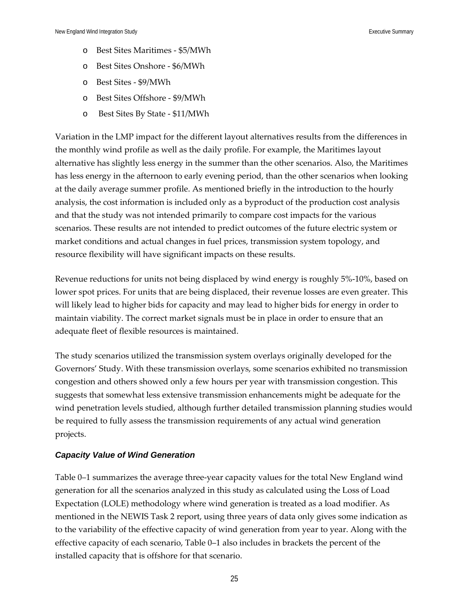- o Best Sites Maritimes \$5/MWh
- o Best Sites Onshore \$6/MWh
- o Best Sites \$9/MWh
- o Best Sites Offshore \$9/MWh
- o Best Sites By State \$11/MWh

Variation in the LMP impact for the different layout alternatives results from the differences in the monthly wind profile as well as the daily profile. For example, the Maritimes layout alternative has slightly less energy in the summer than the other scenarios. Also, the Maritimes has less energy in the afternoon to early evening period, than the other scenarios when looking at the daily average summer profile. As mentioned briefly in the introduction to the hourly analysis, the cost information is included only as a byproduct of the production cost analysis and that the study was not intended primarily to compare cost impacts for the various scenarios. These results are not intended to predict outcomes of the future electric system or market conditions and actual changes in fuel prices, transmission system topology, and resource flexibility will have significant impacts on these results.

Revenue reductions for units not being displaced by wind energy is roughly 5%-10%, based on lower spot prices. For units that are being displaced, their revenue losses are even greater. This will likely lead to higher bids for capacity and may lead to higher bids for energy in order to maintain viability. The correct market signals must be in place in order to ensure that an adequate fleet of flexible resources is maintained.

The study scenarios utilized the transmission system overlays originally developed for the Governors' Study. With these transmission overlays, some scenarios exhibited no transmission congestion and others showed only a few hours per year with transmission congestion. This suggests that somewhat less extensive transmission enhancements might be adequate for the wind penetration levels studied, although further detailed transmission planning studies would be required to fully assess the transmission requirements of any actual wind generation projects.

#### <span id="page-31-0"></span>*Capacity Value of Wind Generation*

[Table 0–1](#page-32-1) summarizes the average three-year capacity values for the total New England wind generation for all the scenarios analyzed in this study as calculated using the Loss of Load Expectation (LOLE) methodology where wind generation is treated as a load modifier. As mentioned in the NEWIS Task 2 report, using three years of data only gives some indication as to the variability of the effective capacity of wind generation from year to year. Along with the effective capacity of each scenario, [Table 0–1](#page-32-1) also includes in brackets the percent of the installed capacity that is offshore for that scenario.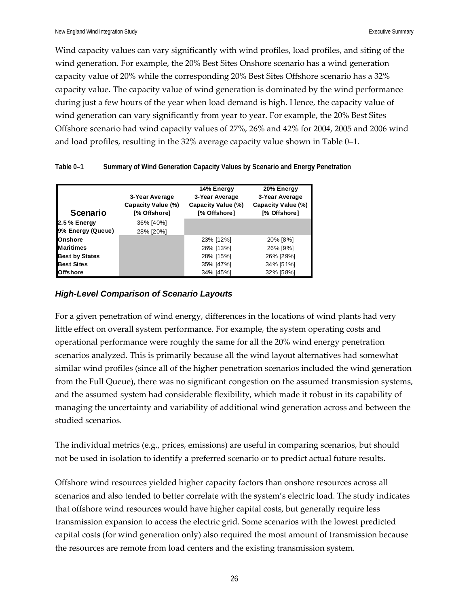Wind capacity values can vary significantly with wind profiles, load profiles, and siting of the wind generation. For example, the 20% Best Sites Onshore scenario has a wind generation capacity value of 20% while the corresponding 20% Best Sites Offshore scenario has a 32% capacity value. The capacity value of wind generation is dominated by the wind performance during just a few hours of the year when load demand is high. Hence, the capacity value of wind generation can vary significantly from year to year. For example, the 20% Best Sites Offshore scenario had wind capacity values of 27%, 26% and 42% for 2004, 2005 and 2006 wind and load profiles, resulting in the 32% average capacity value shown in [Table 0–1.](#page-32-1)

<span id="page-32-1"></span>

| Table 0–1 |  |  |  | Summary of Wind Generation Capacity Values by Scenario and Energy Penetration |
|-----------|--|--|--|-------------------------------------------------------------------------------|
|           |  |  |  |                                                                               |

| <b>Scenario</b>                   | 3-Year Average<br>Capacity Value (%)<br>[% Offshore] | 14% Energy<br>3-Year Average<br>Capacity Value (%)<br>[% Offshore] | 20% Energy<br>3-Year Average<br>Capacity Value (%)<br>[% Offshore] |
|-----------------------------------|------------------------------------------------------|--------------------------------------------------------------------|--------------------------------------------------------------------|
| 2.5 % Energy<br>9% Energy (Queue) | 36% [40%]<br>28% [20%]                               |                                                                    |                                                                    |
| Onshore                           |                                                      | 23% [12%]                                                          | 20% [8%]                                                           |
| <b>IMaritimes</b>                 |                                                      | 26% [13%]                                                          | 26% [9%]                                                           |
| <b>Best by States</b>             |                                                      | 28% [15%]                                                          | 26% [29%]                                                          |
| Best Sites                        |                                                      | 35% [47%]                                                          | 34% [51%]                                                          |
| <b>Offshore</b>                   |                                                      | 34% [45%]                                                          | 32% [58%]                                                          |

#### <span id="page-32-0"></span>*High-Level Comparison of Scenario Layouts*

For a given penetration of wind energy, differences in the locations of wind plants had very little effect on overall system performance. For example, the system operating costs and operational performance were roughly the same for all the 20% wind energy penetration scenarios analyzed. This is primarily because all the wind layout alternatives had somewhat similar wind profiles (since all of the higher penetration scenarios included the wind generation from the Full Queue), there was no significant congestion on the assumed transmission systems, and the assumed system had considerable flexibility, which made it robust in its capability of managing the uncertainty and variability of additional wind generation across and between the studied scenarios.

The individual metrics (e.g., prices, emissions) are useful in comparing scenarios, but should not be used in isolation to identify a preferred scenario or to predict actual future results.

Offshore wind resources yielded higher capacity factors than onshore resources across all scenarios and also tended to better correlate with the system's electric load. The study indicates that offshore wind resources would have higher capital costs, but generally require less transmission expansion to access the electric grid. Some scenarios with the lowest predicted capital costs (for wind generation only) also required the most amount of transmission because the resources are remote from load centers and the existing transmission system.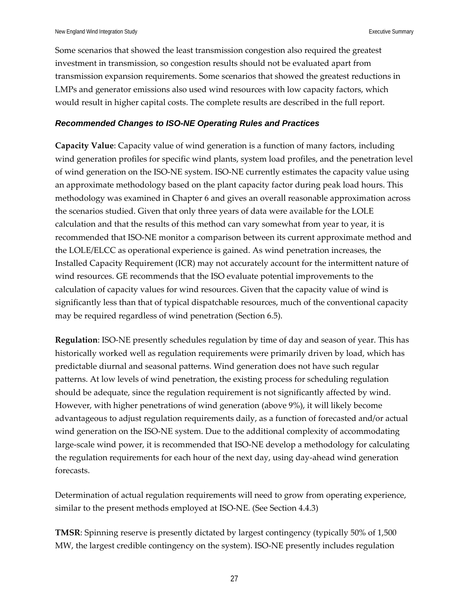Some scenarios that showed the least transmission congestion also required the greatest investment in transmission, so congestion results should not be evaluated apart from transmission expansion requirements. Some scenarios that showed the greatest reductions in LMPs and generator emissions also used wind resources with low capacity factors, which would result in higher capital costs. The complete results are described in the full report.

#### <span id="page-33-0"></span>*Recommended Changes to ISO-NE Operating Rules and Practices*

**Capacity Value**: Capacity value of wind generation is a function of many factors, including wind generation profiles for specific wind plants, system load profiles, and the penetration level of wind generation on the ISO-NE system. ISO-NE currently estimates the capacity value using an approximate methodology based on the plant capacity factor during peak load hours. This methodology was examined in Chapter 6 and gives an overall reasonable approximation across the scenarios studied. Given that only three years of data were available for the LOLE calculation and that the results of this method can vary somewhat from year to year, it is recommended that ISO-NE monitor a comparison between its current approximate method and the LOLE/ELCC as operational experience is gained. As wind penetration increases, the Installed Capacity Requirement (ICR) may not accurately account for the intermittent nature of wind resources. GE recommends that the ISO evaluate potential improvements to the calculation of capacity values for wind resources. Given that the capacity value of wind is significantly less than that of typical dispatchable resources, much of the conventional capacity may be required regardless of wind penetration (Section 6.5).

**Regulation**: ISO-NE presently schedules regulation by time of day and season of year. This has historically worked well as regulation requirements were primarily driven by load, which has predictable diurnal and seasonal patterns. Wind generation does not have such regular patterns. At low levels of wind penetration, the existing process for scheduling regulation should be adequate, since the regulation requirement is not significantly affected by wind. However, with higher penetrations of wind generation (above 9%), it will likely become advantageous to adjust regulation requirements daily, as a function of forecasted and/or actual wind generation on the ISO-NE system. Due to the additional complexity of accommodating large-scale wind power, it is recommended that ISO-NE develop a methodology for calculating the regulation requirements for each hour of the next day, using day-ahead wind generation forecasts.

Determination of actual regulation requirements will need to grow from operating experience, similar to the present methods employed at ISO-NE. (See Section 4.4.3)

**TMSR**: Spinning reserve is presently dictated by largest contingency (typically 50% of 1,500 MW, the largest credible contingency on the system). ISO-NE presently includes regulation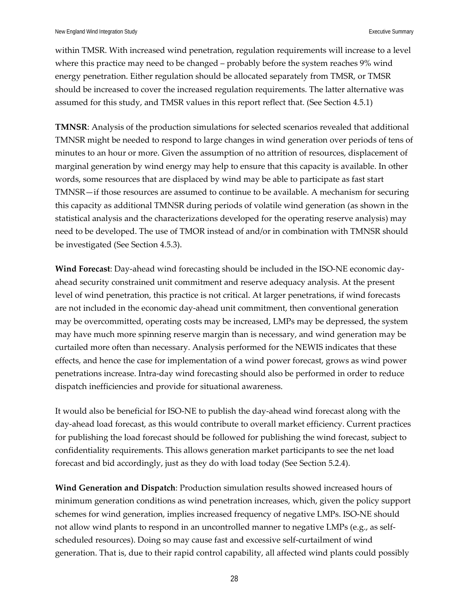within TMSR. With increased wind penetration, regulation requirements will increase to a level where this practice may need to be changed – probably before the system reaches 9% wind energy penetration. Either regulation should be allocated separately from TMSR, or TMSR should be increased to cover the increased regulation requirements. The latter alternative was assumed for this study, and TMSR values in this report reflect that. (See Section 4.5.1)

**TMNSR**: Analysis of the production simulations for selected scenarios revealed that additional TMNSR might be needed to respond to large changes in wind generation over periods of tens of minutes to an hour or more. Given the assumption of no attrition of resources, displacement of marginal generation by wind energy may help to ensure that this capacity is available. In other words, some resources that are displaced by wind may be able to participate as fast start TMNSR—if those resources are assumed to continue to be available. A mechanism for securing this capacity as additional TMNSR during periods of volatile wind generation (as shown in the statistical analysis and the characterizations developed for the operating reserve analysis) may need to be developed. The use of TMOR instead of and/or in combination with TMNSR should be investigated (See Section 4.5.3).

**Wind Forecast**: Day-ahead wind forecasting should be included in the ISO-NE economic dayahead security constrained unit commitment and reserve adequacy analysis. At the present level of wind penetration, this practice is not critical. At larger penetrations, if wind forecasts are not included in the economic day-ahead unit commitment, then conventional generation may be overcommitted, operating costs may be increased, LMPs may be depressed, the system may have much more spinning reserve margin than is necessary, and wind generation may be curtailed more often than necessary. Analysis performed for the NEWIS indicates that these effects, and hence the case for implementation of a wind power forecast, grows as wind power penetrations increase. Intra-day wind forecasting should also be performed in order to reduce dispatch inefficiencies and provide for situational awareness.

It would also be beneficial for ISO-NE to publish the day-ahead wind forecast along with the day-ahead load forecast, as this would contribute to overall market efficiency. Current practices for publishing the load forecast should be followed for publishing the wind forecast, subject to confidentiality requirements. This allows generation market participants to see the net load forecast and bid accordingly, just as they do with load today (See Section 5.2.4).

**Wind Generation and Dispatch**: Production simulation results showed increased hours of minimum generation conditions as wind penetration increases, which, given the policy support schemes for wind generation, implies increased frequency of negative LMPs. ISO-NE should not allow wind plants to respond in an uncontrolled manner to negative LMPs (e.g., as selfscheduled resources). Doing so may cause fast and excessive self-curtailment of wind generation. That is, due to their rapid control capability, all affected wind plants could possibly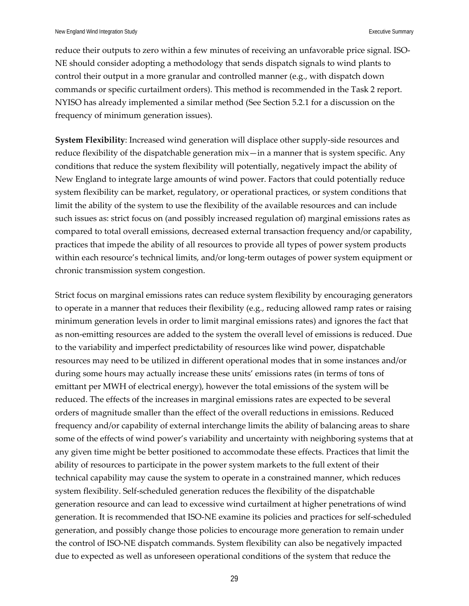reduce their outputs to zero within a few minutes of receiving an unfavorable price signal. ISO-NE should consider adopting a methodology that sends dispatch signals to wind plants to control their output in a more granular and controlled manner (e.g., with dispatch down commands or specific curtailment orders). This method is recommended in the Task 2 report. NYISO has already implemented a similar method (See Section 5.2.1 for a discussion on the frequency of minimum generation issues).

**System Flexibility**: Increased wind generation will displace other supply-side resources and reduce flexibility of the dispatchable generation mix—in a manner that is system specific. Any conditions that reduce the system flexibility will potentially, negatively impact the ability of New England to integrate large amounts of wind power. Factors that could potentially reduce system flexibility can be market, regulatory, or operational practices, or system conditions that limit the ability of the system to use the flexibility of the available resources and can include such issues as: strict focus on (and possibly increased regulation of) marginal emissions rates as compared to total overall emissions, decreased external transaction frequency and/or capability, practices that impede the ability of all resources to provide all types of power system products within each resource's technical limits, and/or long-term outages of power system equipment or chronic transmission system congestion.

Strict focus on marginal emissions rates can reduce system flexibility by encouraging generators to operate in a manner that reduces their flexibility (e.g., reducing allowed ramp rates or raising minimum generation levels in order to limit marginal emissions rates) and ignores the fact that as non-emitting resources are added to the system the overall level of emissions is reduced. Due to the variability and imperfect predictability of resources like wind power, dispatchable resources may need to be utilized in different operational modes that in some instances and/or during some hours may actually increase these units' emissions rates (in terms of tons of emittant per MWH of electrical energy), however the total emissions of the system will be reduced. The effects of the increases in marginal emissions rates are expected to be several orders of magnitude smaller than the effect of the overall reductions in emissions. Reduced frequency and/or capability of external interchange limits the ability of balancing areas to share some of the effects of wind power's variability and uncertainty with neighboring systems that at any given time might be better positioned to accommodate these effects. Practices that limit the ability of resources to participate in the power system markets to the full extent of their technical capability may cause the system to operate in a constrained manner, which reduces system flexibility. Self-scheduled generation reduces the flexibility of the dispatchable generation resource and can lead to excessive wind curtailment at higher penetrations of wind generation. It is recommended that ISO-NE examine its policies and practices for self-scheduled generation, and possibly change those policies to encourage more generation to remain under the control of ISO-NE dispatch commands. System flexibility can also be negatively impacted due to expected as well as unforeseen operational conditions of the system that reduce the

29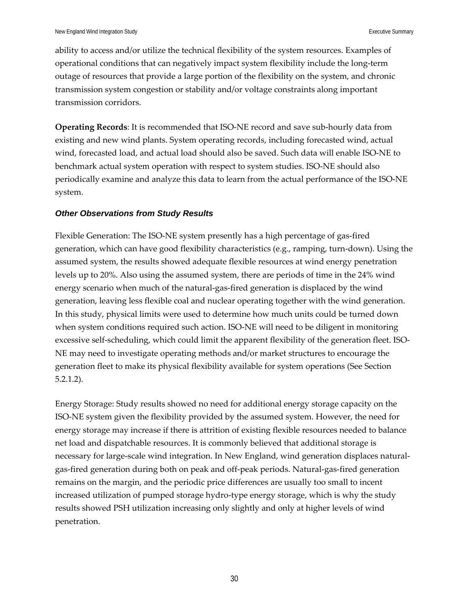ability to access and/or utilize the technical flexibility of the system resources. Examples of operational conditions that can negatively impact system flexibility include the long-term outage of resources that provide a large portion of the flexibility on the system, and chronic transmission system congestion or stability and/or voltage constraints along important transmission corridors.

**Operating Records**: It is recommended that ISO-NE record and save sub-hourly data from existing and new wind plants. System operating records, including forecasted wind, actual wind, forecasted load, and actual load should also be saved. Such data will enable ISO-NE to benchmark actual system operation with respect to system studies. ISO-NE should also periodically examine and analyze this data to learn from the actual performance of the ISO-NE system.

#### <span id="page-36-0"></span>*Other Observations from Study Results*

Flexible Generation: The ISO-NE system presently has a high percentage of gas-fired generation, which can have good flexibility characteristics (e.g., ramping, turn-down). Using the assumed system, the results showed adequate flexible resources at wind energy penetration levels up to 20%. Also using the assumed system, there are periods of time in the 24% wind energy scenario when much of the natural-gas-fired generation is displaced by the wind generation, leaving less flexible coal and nuclear operating together with the wind generation. In this study, physical limits were used to determine how much units could be turned down when system conditions required such action. ISO-NE will need to be diligent in monitoring excessive self-scheduling, which could limit the apparent flexibility of the generation fleet. ISO-NE may need to investigate operating methods and/or market structures to encourage the generation fleet to make its physical flexibility available for system operations (See Section 5.2.1.2).

Energy Storage: Study results showed no need for additional energy storage capacity on the ISO-NE system given the flexibility provided by the assumed system. However, the need for energy storage may increase if there is attrition of existing flexible resources needed to balance net load and dispatchable resources. It is commonly believed that additional storage is necessary for large-scale wind integration. In New England, wind generation displaces naturalgas-fired generation during both on peak and off-peak periods. Natural-gas-fired generation remains on the margin, and the periodic price differences are usually too small to incent increased utilization of pumped storage hydro-type energy storage, which is why the study results showed PSH utilization increasing only slightly and only at higher levels of wind penetration.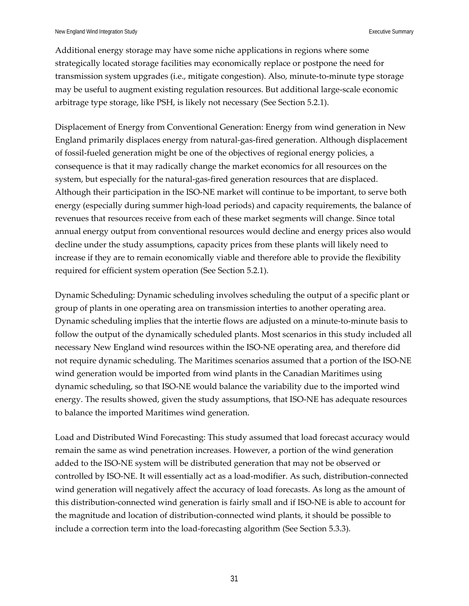Additional energy storage may have some niche applications in regions where some strategically located storage facilities may economically replace or postpone the need for transmission system upgrades (i.e., mitigate congestion). Also, minute-to-minute type storage may be useful to augment existing regulation resources. But additional large-scale economic arbitrage type storage, like PSH, is likely not necessary (See Section 5.2.1).

Displacement of Energy from Conventional Generation: Energy from wind generation in New England primarily displaces energy from natural-gas-fired generation. Although displacement of fossil-fueled generation might be one of the objectives of regional energy policies, a consequence is that it may radically change the market economics for all resources on the system, but especially for the natural-gas-fired generation resources that are displaced. Although their participation in the ISO-NE market will continue to be important, to serve both energy (especially during summer high-load periods) and capacity requirements, the balance of revenues that resources receive from each of these market segments will change. Since total annual energy output from conventional resources would decline and energy prices also would decline under the study assumptions, capacity prices from these plants will likely need to increase if they are to remain economically viable and therefore able to provide the flexibility required for efficient system operation (See Section 5.2.1).

Dynamic Scheduling: Dynamic scheduling involves scheduling the output of a specific plant or group of plants in one operating area on transmission interties to another operating area. Dynamic scheduling implies that the intertie flows are adjusted on a minute-to-minute basis to follow the output of the dynamically scheduled plants. Most scenarios in this study included all necessary New England wind resources within the ISO-NE operating area, and therefore did not require dynamic scheduling. The Maritimes scenarios assumed that a portion of the ISO-NE wind generation would be imported from wind plants in the Canadian Maritimes using dynamic scheduling, so that ISO-NE would balance the variability due to the imported wind energy. The results showed, given the study assumptions, that ISO-NE has adequate resources to balance the imported Maritimes wind generation.

Load and Distributed Wind Forecasting: This study assumed that load forecast accuracy would remain the same as wind penetration increases. However, a portion of the wind generation added to the ISO-NE system will be distributed generation that may not be observed or controlled by ISO-NE. It will essentially act as a load-modifier. As such, distribution-connected wind generation will negatively affect the accuracy of load forecasts. As long as the amount of this distribution-connected wind generation is fairly small and if ISO-NE is able to account for the magnitude and location of distribution-connected wind plants, it should be possible to include a correction term into the load-forecasting algorithm (See Section 5.3.3).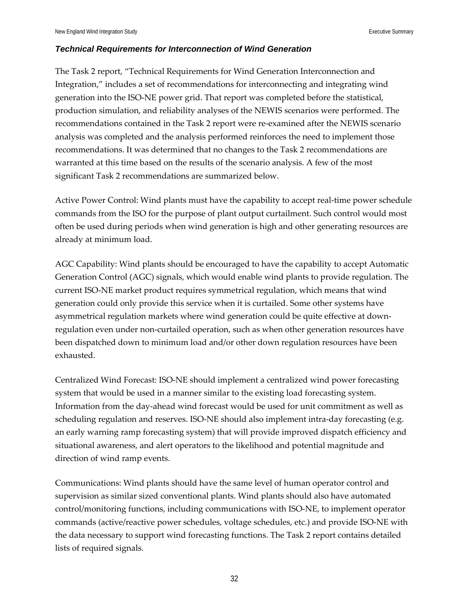#### <span id="page-38-0"></span>*Technical Requirements for Interconnection of Wind Generation*

The Task 2 report, "Technical Requirements for Wind Generation Interconnection and Integration," includes a set of recommendations for interconnecting and integrating wind generation into the ISO-NE power grid. That report was completed before the statistical, production simulation, and reliability analyses of the NEWIS scenarios were performed. The recommendations contained in the Task 2 report were re-examined after the NEWIS scenario analysis was completed and the analysis performed reinforces the need to implement those recommendations. It was determined that no changes to the Task 2 recommendations are warranted at this time based on the results of the scenario analysis. A few of the most significant Task 2 recommendations are summarized below.

Active Power Control: Wind plants must have the capability to accept real-time power schedule commands from the ISO for the purpose of plant output curtailment. Such control would most often be used during periods when wind generation is high and other generating resources are already at minimum load.

AGC Capability: Wind plants should be encouraged to have the capability to accept Automatic Generation Control (AGC) signals, which would enable wind plants to provide regulation. The current ISO-NE market product requires symmetrical regulation, which means that wind generation could only provide this service when it is curtailed. Some other systems have asymmetrical regulation markets where wind generation could be quite effective at downregulation even under non-curtailed operation, such as when other generation resources have been dispatched down to minimum load and/or other down regulation resources have been exhausted.

Centralized Wind Forecast: ISO-NE should implement a centralized wind power forecasting system that would be used in a manner similar to the existing load forecasting system. Information from the day-ahead wind forecast would be used for unit commitment as well as scheduling regulation and reserves. ISO-NE should also implement intra-day forecasting (e.g. an early warning ramp forecasting system) that will provide improved dispatch efficiency and situational awareness, and alert operators to the likelihood and potential magnitude and direction of wind ramp events.

Communications: Wind plants should have the same level of human operator control and supervision as similar sized conventional plants. Wind plants should also have automated control/monitoring functions, including communications with ISO-NE, to implement operator commands (active/reactive power schedules, voltage schedules, etc.) and provide ISO-NE with the data necessary to support wind forecasting functions. The Task 2 report contains detailed lists of required signals.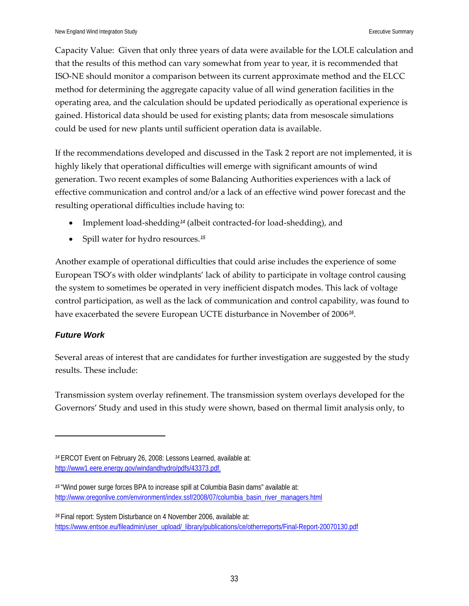Capacity Value: Given that only three years of data were available for the LOLE calculation and that the results of this method can vary somewhat from year to year, it is recommended that ISO-NE should monitor a comparison between its current approximate method and the ELCC method for determining the aggregate capacity value of all wind generation facilities in the operating area, and the calculation should be updated periodically as operational experience is gained. Historical data should be used for existing plants; data from mesoscale simulations could be used for new plants until sufficient operation data is available.

If the recommendations developed and discussed in the Task 2 report are not implemented, it is highly likely that operational difficulties will emerge with significant amounts of wind generation. Two recent examples of some Balancing Authorities experiences with a lack of effective communication and control and/or a lack of an effective wind power forecast and the resulting operational difficulties include having to:

- Implement load-shedding*[14](#page-39-1)* (albeit contracted-for load-shedding), and
- Spill water for hydro resources. *[15](#page-39-2)*

Another example of operational difficulties that could arise includes the experience of some European TSO's with older windplants' lack of ability to participate in voltage control causing the system to sometimes be operated in very inefficient dispatch modes. This lack of voltage control participation, as well as the lack of communication and control capability, was found to have exacerbated the severe European UCTE disturbance in November of 2006*[16](#page-39-3)* .

#### <span id="page-39-0"></span>*Future Work*

 $\overline{a}$ 

Several areas of interest that are candidates for further investigation are suggested by the study results. These include:

Transmission system overlay refinement. The transmission system overlays developed for the Governors' Study and used in this study were shown, based on thermal limit analysis only, to

<span id="page-39-1"></span>*<sup>14</sup>* ERCOT Event on February 26, 2008: Lessons Learned, available at: http://www1.eere.energy.gov/windandhydro/pdfs/43373.pdf.

<span id="page-39-2"></span>*<sup>15</sup>* "Wind power surge forces BPA to increase spill at Columbia Basin dams" available at: http://www.oregonlive.com/environment/index.ssf/2008/07/columbia\_basin\_river\_managers.html

<span id="page-39-3"></span>*<sup>16</sup>* Final report: System Disturbance on 4 November 2006, available at: https://www.entsoe.eu/fileadmin/user\_upload/\_library/publications/ce/otherreports/Final-Report-20070130.pdf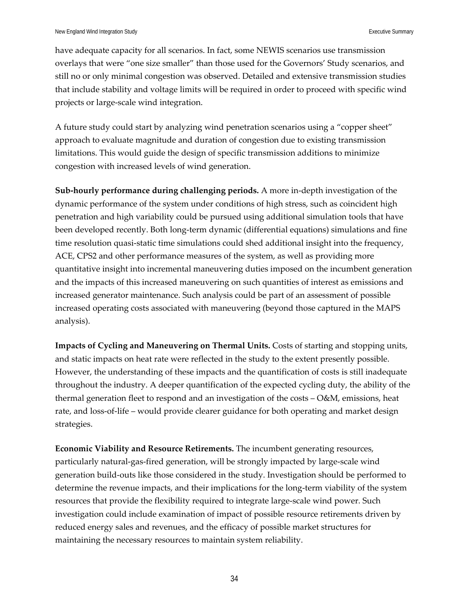have adequate capacity for all scenarios. In fact, some NEWIS scenarios use transmission overlays that were "one size smaller" than those used for the Governors' Study scenarios, and still no or only minimal congestion was observed. Detailed and extensive transmission studies that include stability and voltage limits will be required in order to proceed with specific wind projects or large-scale wind integration.

A future study could start by analyzing wind penetration scenarios using a "copper sheet" approach to evaluate magnitude and duration of congestion due to existing transmission limitations. This would guide the design of specific transmission additions to minimize congestion with increased levels of wind generation.

**Sub-hourly performance during challenging periods.** A more in-depth investigation of the dynamic performance of the system under conditions of high stress, such as coincident high penetration and high variability could be pursued using additional simulation tools that have been developed recently. Both long-term dynamic (differential equations) simulations and fine time resolution quasi-static time simulations could shed additional insight into the frequency, ACE, CPS2 and other performance measures of the system, as well as providing more quantitative insight into incremental maneuvering duties imposed on the incumbent generation and the impacts of this increased maneuvering on such quantities of interest as emissions and increased generator maintenance. Such analysis could be part of an assessment of possible increased operating costs associated with maneuvering (beyond those captured in the MAPS analysis).

**Impacts of Cycling and Maneuvering on Thermal Units.** Costs of starting and stopping units, and static impacts on heat rate were reflected in the study to the extent presently possible. However, the understanding of these impacts and the quantification of costs is still inadequate throughout the industry. A deeper quantification of the expected cycling duty, the ability of the thermal generation fleet to respond and an investigation of the costs – O&M, emissions, heat rate, and loss-of-life – would provide clearer guidance for both operating and market design strategies.

**Economic Viability and Resource Retirements.** The incumbent generating resources, particularly natural-gas-fired generation, will be strongly impacted by large-scale wind generation build-outs like those considered in the study. Investigation should be performed to determine the revenue impacts, and their implications for the long-term viability of the system resources that provide the flexibility required to integrate large-scale wind power. Such investigation could include examination of impact of possible resource retirements driven by reduced energy sales and revenues, and the efficacy of possible market structures for maintaining the necessary resources to maintain system reliability.

34